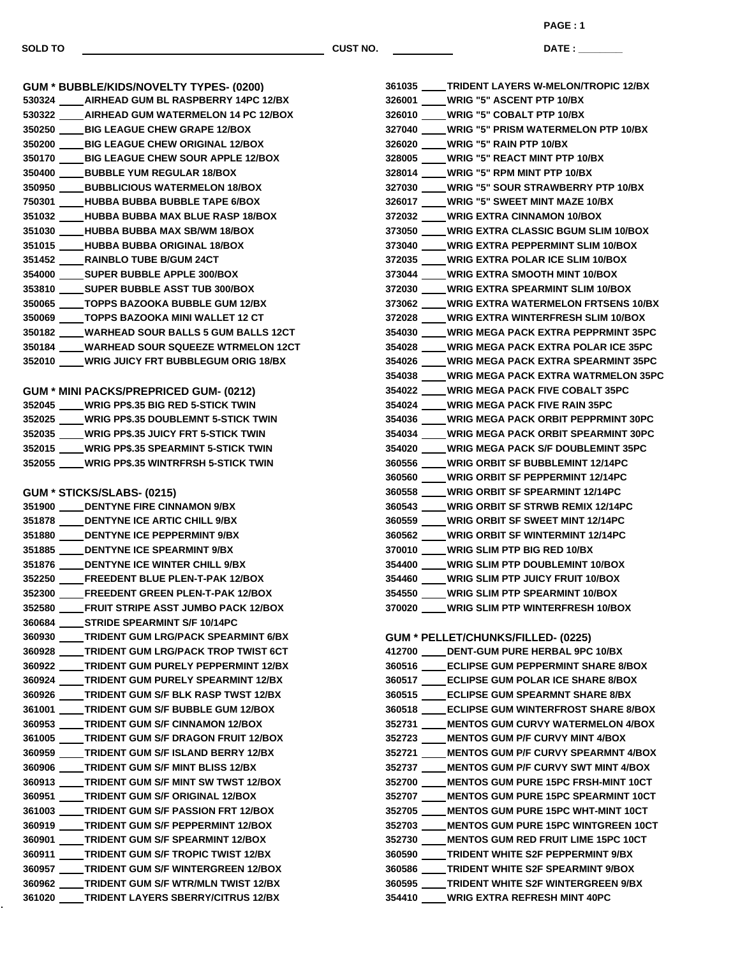$\overline{\phantom{a}}$ 

**DATE : \_\_\_\_\_\_\_\_\_\_\_\_\_\_\_ PAGE : 1**

| <b>GUM * BUBBLE/KIDS/NOVELTY TYPES- (0200)</b>                                                  |
|-------------------------------------------------------------------------------------------------|
| 530324 ____ AIRHEAD GUM BL RASPBERRY 14PC 12/BX                                                 |
|                                                                                                 |
| 530322 _____ AIRHEAD GUM WATERMELON 14 PC 12/BOX                                                |
| 350250 ____ BIG LEAGUE CHEW GRAPE 12/BOX                                                        |
| 350200 ____BIG LEAGUE CHEW ORIGINAL 12/BOX                                                      |
| 350170 ____ BIG LEAGUE CHEW SOUR APPLE 12/BOX                                                   |
| 350400 ____BUBBLE YUM REGULAR 18/BOX                                                            |
| 350950 ____ BUBBLICIOUS WATERMELON 18/BOX                                                       |
| 750301 ____HUBBA BUBBA BUBBLE TAPE 6/BOX                                                        |
| 351032 ____HUBBA BUBBA MAX BLUE RASP 18/BOX                                                     |
| 351030 ____HUBBA BUBBA MAX SB/WM 18/BOX                                                         |
| 351015 ____HUBBA BUBBA ORIGINAL 18/BOX                                                          |
| 351452 _____ RAINBLO TUBE B/GUM 24CT                                                            |
| 354000 _____ SUPER BUBBLE APPLE 300/BOX                                                         |
| 353810 _____ SUPER BUBBLE ASST TUB 300/BOX                                                      |
| 350065 ____TOPPS BAZOOKA BUBBLE GUM 12/BX                                                       |
| 350069 _____ TOPPS BAZOOKA MINI WALLET 12 CT                                                    |
| 350182 ____ WARHEAD SOUR BALLS 5 GUM BALLS 12CT                                                 |
| 350184 ____ WARHEAD SOUR SQUEEZE WTRMELON 12CT                                                  |
| 352010 ____ WRIG JUICY FRT BUBBLEGUM ORIG 18/BX                                                 |
|                                                                                                 |
|                                                                                                 |
| GUM * MINI PACKS/PREPRICED GUM- (0212)<br>352045 ____ WRIG PP\$.35 BIG RED 5-STICK TWIN         |
|                                                                                                 |
| 352025 ____ WRIG PP\$.35 DOUBLEMNT 5-STICK TWIN                                                 |
| 352035 ____WRIG PP\$.35 JUICY FRT 5-STICK TWIN                                                  |
| 352015 ____ WRIG PP\$.35 SPEARMINT 5-STICK TWIN                                                 |
| 352055 ____ WRIG PP\$.35 WINTRFRSH 5-STICK TWIN                                                 |
|                                                                                                 |
|                                                                                                 |
| GUM * STICKS/SLABS- (0215)                                                                      |
| 351900 _____ DENTYNE FIRE CINNAMON 9/BX                                                         |
| 351878 _____ DENTYNE ICE ARTIC CHILL 9/BX                                                       |
| 351880 _____ DENTYNE ICE PEPPERMINT 9/BX                                                        |
| 351885 _____ DENTYNE ICE SPEARMINT 9/BX                                                         |
| 351876 _____ DENTYNE ICE WINTER CHILL 9/BX                                                      |
| 352250 _____ FREEDENT BLUE PLEN-T-PAK 12/BOX                                                    |
|                                                                                                 |
| 352300 FREEDENT GREEN PLEN-T-PAK 12/BOX                                                         |
| 352580 ____FRUIT STRIPE ASST JUMBO PACK 12/BOX                                                  |
| 360684 ____STRIDE SPEARMINT S/F 10/14PC                                                         |
| 360930 ____TRIDENT GUM LRG/PACK SPEARMINT 6/BX                                                  |
| 360928 ____TRIDENT GUM LRG/PACK TROP TWIST 6CT                                                  |
| 360922 ____TRIDENT GUM PURELY PEPPERMINT 12/BX                                                  |
| 360924 ____TRIDENT GUM PURELY SPEARMINT 12/BX                                                   |
| 360926 ____TRIDENT GUM S/F BLK RASP TWST 12/BX                                                  |
| 361001 ____TRIDENT GUM S/F BUBBLE GUM 12/BOX                                                    |
| 360953 ____TRIDENT GUM S/F CINNAMON 12/BOX                                                      |
| 361005 ____ TRIDENT GUM S/F DRAGON FRUIT 12/BOX                                                 |
| 360959 ____TRIDENT GUM S/F ISLAND BERRY 12/BX                                                   |
| 360906 ____TRIDENT GUM S/F MINT BLISS 12/BX                                                     |
| 360913 ____TRIDENT GUM S/F MINT SW TWST 12/BOX                                                  |
| 360951 ____TRIDENT GUM S/F ORIGINAL 12/BOX                                                      |
| 361003 ____TRIDENT GUM S/F PASSION FRT 12/BOX                                                   |
| 360919 ____TRIDENT GUM S/F PEPPERMINT 12/BOX                                                    |
| 360901 ____TRIDENT GUM S/F SPEARMINT 12/BOX                                                     |
| 360911 ____TRIDENT GUM S/F TROPIC TWIST 12/BX<br>360957 ____ TRIDENT GUM S/F WINTERGREEN 12/BOX |

 **TRIDENT GUM S/F WTR/MLN TWIST 12/BX TRIDENT LAYERS SBERRY/CITRUS 12/BX**

|        | 361035 ____ TRIDENT LAYERS W-MELON/TROPIC 12/BX                                           |
|--------|-------------------------------------------------------------------------------------------|
|        | 326001 ____WRIG "5" ASCENT PTP 10/BX                                                      |
|        | 326010 ____WRIG "5" COBALT PTP 10/BX                                                      |
|        | 327040 ____WRIG "5" PRISM WATERMELON PTP 10/BX                                            |
|        | 326020 ____WRIG "5" RAIN PTP 10/BX                                                        |
|        | 328005 ____WRIG "5" REACT MINT PTP 10/BX                                                  |
|        | 328014 ____WRIG "5" RPM MINT PTP 10/BX                                                    |
|        | 327030 ____WRIG "5" SOUR STRAWBERRY PTP 10/BX                                             |
|        | 326017 ____WRIG "5" SWEET MINT MAZE 10/BX                                                 |
|        | 372032 ____WRIG EXTRA CINNAMON 10/BOX                                                     |
|        | 373050 ____WRIG EXTRA CLASSIC BGUM SLIM 10/BOX                                            |
|        | 373040 ____ WRIG EXTRA PEPPERMINT SLIM 10/BOX                                             |
|        | 372035 ____ WRIG EXTRA POLAR ICE SLIM 10/BOX                                              |
|        | 373044 ____WRIG EXTRA SMOOTH MINT 10/BOX                                                  |
|        | 372030 ____WRIG EXTRA SPEARMINT SLIM 10/BOX                                               |
|        | 373062 ____ WRIG EXTRA WATERMELON FRTSENS 10/BX                                           |
|        | 372028 ____WRIG EXTRA WINTERFRESH SLIM 10/BOX                                             |
|        | 354030 ____ WRIG MEGA PACK EXTRA PEPPRMINT 35PC                                           |
|        | 354028 ____ WRIG MEGA PACK EXTRA POLAR ICE 35PC                                           |
|        | 354026 ____ WRIG MEGA PACK EXTRA SPEARMINT 35PC                                           |
|        | 354038 ____ WRIG MEGA PACK EXTRA WATRMELON 35PC                                           |
|        | 354022 ____ WRIG MEGA PACK FIVE COBALT 35PC                                               |
|        | 354024 ____WRIG MEGA PACK FIVE RAIN 35PC                                                  |
|        | 354036 ____ WRIG MEGA PACK ORBIT PEPPRMINT 30PC                                           |
|        | 354034 ____ WRIG MEGA PACK ORBIT SPEARMINT 30PC                                           |
|        | 354020 ____ WRIG MEGA PACK S/F DOUBLEMINT 35PC                                            |
|        | 360556 ____WRIG ORBIT SF BUBBLEMINT 12/14PC                                               |
|        | 360560 ____WRIG ORBIT SF PEPPERMINT 12/14PC                                               |
|        | 360558 ____WRIG ORBIT SF SPEARMINT 12/14PC                                                |
|        | 360543 ____WRIG ORBIT SF STRWB REMIX 12/14PC                                              |
|        | 360559 ____WRIG ORBIT SF SWEET MINT 12/14PC                                               |
|        | 360562 ____WRIG ORBIT SF WINTERMINT 12/14PC                                               |
|        | 370010 ____WRIG SLIM PTP BIG RED 10/BX                                                    |
|        | 354400 ____WRIG SLIM PTP DOUBLEMINT 10/BOX<br>354460 ____WRIG SLIM PTP JUICY FRUIT 10/BOX |
|        |                                                                                           |
|        | 354550 ____WRIG SLIM PTP SPEARMINT 10/BOX<br>370020 ____WRIG SLIM PTP WINTERFRESH 10/BOX  |
|        |                                                                                           |
|        | GUM * PELLET/CHUNKS/FILLED- (0225)                                                        |
|        | 412700 _____ DENT-GUM PURE HERBAL 9PC 10/BX                                               |
|        | 360516 ____ECLIPSE GUM PEPPERMINT SHARE 8/BOX                                             |
| 360517 | <b>ECLIPSE GUM POLAR ICE SHARE 8/BOX</b>                                                  |
|        | 360515 ____ECLIPSE GUM SPEARMNT SHARE 8/BX                                                |
|        | 360518 ____ECLIPSE GUM WINTERFROST SHARE 8/BOX                                            |
|        | 352731 ____ MENTOS GUM CURVY WATERMELON 4/BOX                                             |
|        | 352723 ____ MENTOS GUM P/F CURVY MINT 4/BOX                                               |
|        | 352721 ____ MENTOS GUM P/F CURVY SPEARMNT 4/BOX                                           |
|        | 352737 ____ MENTOS GUM P/F CURVY SWT MINT 4/BOX                                           |
|        | 352700 ____ MENTOS GUM PURE 15PC FRSH-MINT 10CT                                           |
|        | 352707 ____ MENTOS GUM PURE 15PC SPEARMINT 10CT                                           |
|        | 352705 ____ MENTOS GUM PURE 15PC WHT-MINT 10CT                                            |
|        | 352703 ____ MENTOS GUM PURE 15PC WINTGREEN 10CT                                           |
|        | 352730 ____ MENTOS GUM RED FRUIT LIME 15PC 10CT                                           |
|        | 360590 ____TRIDENT WHITE S2F PEPPERMINT 9/BX                                              |
|        | 360586 ____TRIDENT WHITE S2F SPEARMINT 9/BOX                                              |
|        | 360595 ____TRIDENT WHITE S2F WINTERGREEN 9/BX<br>354410 ____ WRIG EXTRA REFRESH MINT 40PC |
|        |                                                                                           |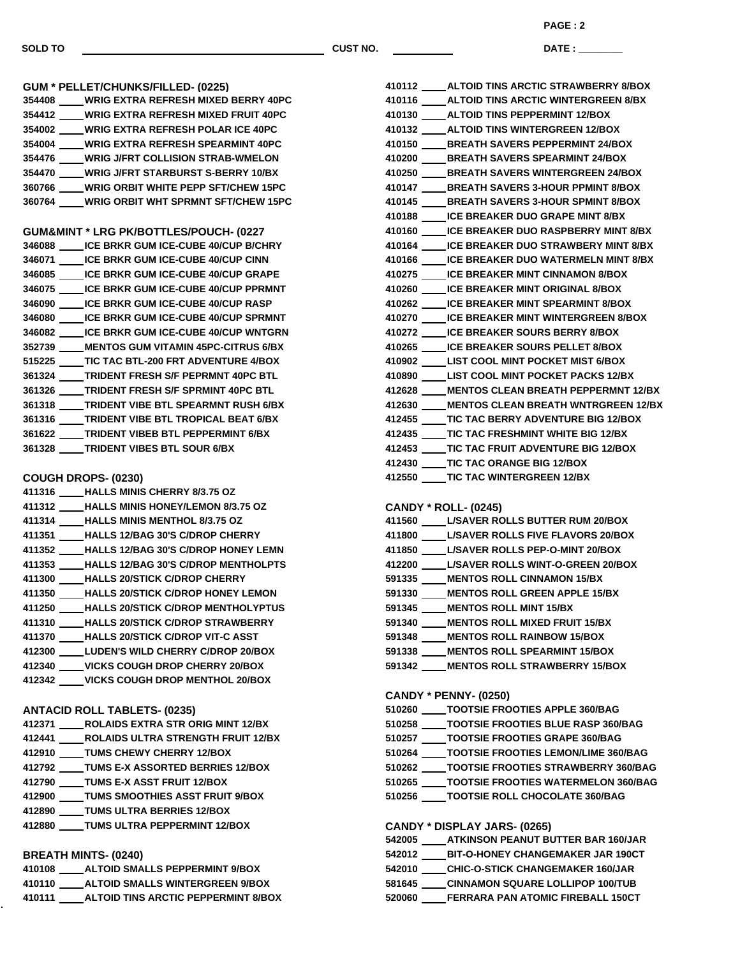**PAGE : 2**

**DATE : \_\_\_\_\_\_\_\_\_\_\_\_\_\_\_**

| <b>GUM * PELLET/CHUNKS/FILLED- (0225)</b>                                                           |
|-----------------------------------------------------------------------------------------------------|
| 354408 ____ WRIG EXTRA REFRESH MIXED BERRY 40PC                                                     |
| 354412 ____ WRIG EXTRA REFRESH MIXED FRUIT 40PC                                                     |
| 354002 ____WRIG EXTRA REFRESH POLAR ICE 40PC                                                        |
| 354004 WRIG EXTRA REFRESH SPEARMINT 40PC                                                            |
| 354476 ____WRIG J/FRT COLLISION STRAB-WMELON                                                        |
| 354470 ____ WRIG J/FRT STARBURST S-BERRY 10/BX                                                      |
| 360766 ____WRIG ORBIT WHITE PEPP SFT/CHEW 15PC                                                      |
| 360764 ____WRIG ORBIT WHT SPRMNT SFT/CHEW 15PC                                                      |
|                                                                                                     |
| GUM&MINT * LRG PK/BOTTLES/POUCH- (0227                                                              |
| 346088 _____ ICE BRKR GUM ICE-CUBE 40/CUP B/CHRY                                                    |
| 346071 ICE BRKR GUM ICE-CUBE 40/CUP CINN                                                            |
| 346085 _____ ICE BRKR GUM ICE-CUBE 40/CUP GRAPE                                                     |
| 346075 _____ ICE BRKR GUM ICE-CUBE 40/CUP PPRMNT                                                    |
| 346090 _____ ICE BRKR GUM ICE-CUBE 40/CUP RASP                                                      |
| 346080 _____ ICE BRKR GUM ICE-CUBE 40/CUP SPRMNT                                                    |
| 346082 _____ ICE BRKR GUM ICE-CUBE 40/CUP WNTGRN<br>352739 ____ MENTOS GUM VITAMIN 45PC-CITRUS 6/BX |
|                                                                                                     |
| 515225 _____ TIC TAC BTL-200 FRT ADVENTURE 4/BOX                                                    |
| 361324 TRIDENT FRESH S/F PEPRMNT 40PC BTL<br>361326 ____ TRIDENT FRESH S/F SPRMINT 40PC BTL         |
| 361318 ____ TRIDENT VIBE BTL SPEARMNT RUSH 6/BX                                                     |
| 361316 _____ TRIDENT VIBE BTL TROPICAL BEAT 6/BX                                                    |
| 361622 ____ TRIDENT VIBEB BTL PEPPERMINT 6/BX                                                       |
|                                                                                                     |
| 361328 _____ TRIDENT VIBES BTL SOUR 6/BX                                                            |
|                                                                                                     |
| <b>COUGH DROPS- (0230)</b><br>411316 ____ HALLS MINIS CHERRY 8/3.75 OZ                              |
| 411312 ____ HALLS MINIS HONEY/LEMON 8/3.75 OZ                                                       |
| 411314 _____HALLS MINIS MENTHOL 8/3.75 OZ                                                           |
| 411351 HALLS 12/BAG 30'S C/DROP CHERRY                                                              |
| 411352 ____ HALLS 12/BAG 30'S C/DROP HONEY LEMN                                                     |
| 411353 ____ HALLS 12/BAG 30'S C/DROP MENTHOLPTS                                                     |
| 411300 ____ HALLS 20/STICK C/DROP CHERRY                                                            |
| 411350 ____ HALLS 20/STICK C/DROP HONEY LEMON                                                       |
| 411250 HALLS 20/STICK C/DROP MENTHOLYPTUS                                                           |
| 411310 HALLS 20/STICK C/DROP STRAWBERRY                                                             |
| 411370 ____ HALLS 20/STICK C/DROP VIT-C ASST                                                        |
| 412300 LUDEN'S WILD CHERRY C/DROP 20/BOX                                                            |
| 412340 ____VICKS COUGH DROP CHERRY 20/BOX                                                           |
| 412342 VICKS COUGH DROP MENTHOL 20/BOX                                                              |
|                                                                                                     |
| <b>ANTACID ROLL TABLETS- (0235)</b>                                                                 |
| 412371 _____ ROLAIDS EXTRA STR ORIG MINT 12/BX                                                      |
| 412441 ROLAIDS ULTRA STRENGTH FRUIT 12/BX                                                           |
| 412910 ____TUMS CHEWY CHERRY 12/BOX                                                                 |
| 412792 _____ TUMS E-X ASSORTED BERRIES 12/BOX                                                       |
| 412790 ____TUMS E-X ASST FRUIT 12/BOX                                                               |
| 412900 _____ TUMS SMOOTHIES ASST FRUIT 9/BOX                                                        |
| 412890 _____ TUMS ULTRA BERRIES 12/BOX                                                              |
| 412880 ____TUMS ULTRA PEPPERMINT 12/BOX                                                             |
|                                                                                                     |
| <b>BREATH MINTS- (0240)</b>                                                                         |
| 410108 _____ ALTOID SMALLS PEPPERMINT 9/BOX                                                         |
| 410110 _____ ALTOID SMALLS WINTERGREEN 9/BOX                                                        |
|                                                                                                     |

**ALTOID TINS ARCTIC PEPPERMINT 8/BOX**

| 410112 ALTOID TINS ARCTIC STRAWBERRY 8/BOX       |
|--------------------------------------------------|
| 410116 _____ ALTOID TINS ARCTIC WINTERGREEN 8/BX |
| 410130 _____ ALTOID TINS PEPPERMINT 12/BOX       |
| 410132 _____ ALTOID TINS WINTERGREEN 12/BOX      |
| 410150 _____ BREATH SAVERS PEPPERMINT 24/BOX     |
| 410200 _____ BREATH SAVERS SPEARMINT 24/BOX      |
| 410250 _____ BREATH SAVERS WINTERGREEN 24/BOX    |
| 410147 _____ BREATH SAVERS 3-HOUR PPMINT 8/BOX   |
| 410145 _____ BREATH SAVERS 3-HOUR SPMINT 8/BOX   |
| 410188 _____ ICE BREAKER DUO GRAPE MINT 8/BX     |
| 410160 ICE BREAKER DUO RASPBERRY MINT 8/BX       |
| 410164 ICE BREAKER DUO STRAWBERY MINT 8/BX       |
| 410166 _____ ICE BREAKER DUO WATERMELN MINT 8/BX |
| 410275 _____ ICE BREAKER MINT CINNAMON 8/BOX     |
| 410260 ICE BREAKER MINT ORIGINAL 8/BOX           |
| 410262 _____ ICE BREAKER MINT SPEARMINT 8/BOX    |
| 410270 _____ ICE BREAKER MINT WINTERGREEN 8/BOX  |
| 410272 _____ ICE BREAKER SOURS BERRY 8/BOX       |
| 410265 _____ ICE BREAKER SOURS PELLET 8/BOX      |
| 410902 _____ LIST COOL MINT POCKET MIST 6/BOX    |
| 410890 LIST COOL MINT POCKET PACKS 12/BX         |
| 412628 MENTOS CLEAN BREATH PEPPERMNT 12/BX       |
| 412630 ____ MENTOS CLEAN BREATH WNTRGREEN 12/BX  |
| 412455 _____ TIC TAC BERRY ADVENTURE BIG 12/BOX  |
| 412435 TIC TAC FRESHMINT WHITE BIG 12/BX         |
| 412453 TIC TAC FRUIT ADVENTURE BIG 12/BOX        |
| 412430 _____ TIC TAC ORANGE BIG 12/BOX           |
| 412550 _____ TIC TAC WINTERGREEN 12/BX           |
|                                                  |

## **CANDY \* ROLL- (0245)**

| 411560 | <b>L/SAVER ROLLS BUTTER RUM 20/BOX</b>   |
|--------|------------------------------------------|
| 411800 | <b>L/SAVER ROLLS FIVE FLAVORS 20/BOX</b> |
| 411850 | <b>L/SAVER ROLLS PEP-O-MINT 20/BOX</b>   |
| 412200 | <b>L/SAVER ROLLS WINT-O-GREEN 20/BOX</b> |
| 591335 | <b>MENTOS ROLL CINNAMON 15/BX</b>        |
| 591330 | <b>MENTOS ROLL GREEN APPLE 15/BX</b>     |
| 591345 | <b>MENTOS ROLL MINT 15/BX</b>            |
| 591340 | <b>MENTOS ROLL MIXED FRUIT 15/BX</b>     |
| 591348 | <b>MENTOS ROLL RAINBOW 15/BOX</b>        |
| 591338 | <b>MENTOS ROLL SPEARMINT 15/BOX</b>      |
| 591342 | <b>MENTOS ROLL STRAWBERRY 15/BOX</b>     |

## **CANDY \* PENNY- (0250)**

| 510260 | <b>TOOTSIE FROOTIES APPLE 360/BAG</b>      |
|--------|--------------------------------------------|
| 510258 | <b>TOOTSIE FROOTIES BLUE RASP 360/BAG</b>  |
| 510257 | <b>TOOTSIE FROOTIES GRAPE 360/BAG</b>      |
| 510264 | <b>TOOTSIE FROOTIES LEMON/LIME 360/BAG</b> |
| 510262 | <b>TOOTSIE FROOTIES STRAWBERRY 360/BAG</b> |
| 510265 | <b>TOOTSIE FROOTIES WATERMELON 360/BAG</b> |
| 510256 | TOOTSIE ROLL CHOCOLATE 360/BAG             |
|        |                                            |

## **CANDY \* DISPLAY JARS- (0265)**

| 542005 | ATKINSON PEANUT BUTTER BAR 160/JAR       |
|--------|------------------------------------------|
| 542012 | <b>BIT-O-HONEY CHANGEMAKER JAR 190CT</b> |
| 542010 | <b>CHIC-O-STICK CHANGEMAKER 160/JAR</b>  |
| 581645 | <b>CINNAMON SQUARE LOLLIPOP 100/TUB</b>  |
| 520060 | <b>FERRARA PAN ATOMIC FIREBALL 150CT</b> |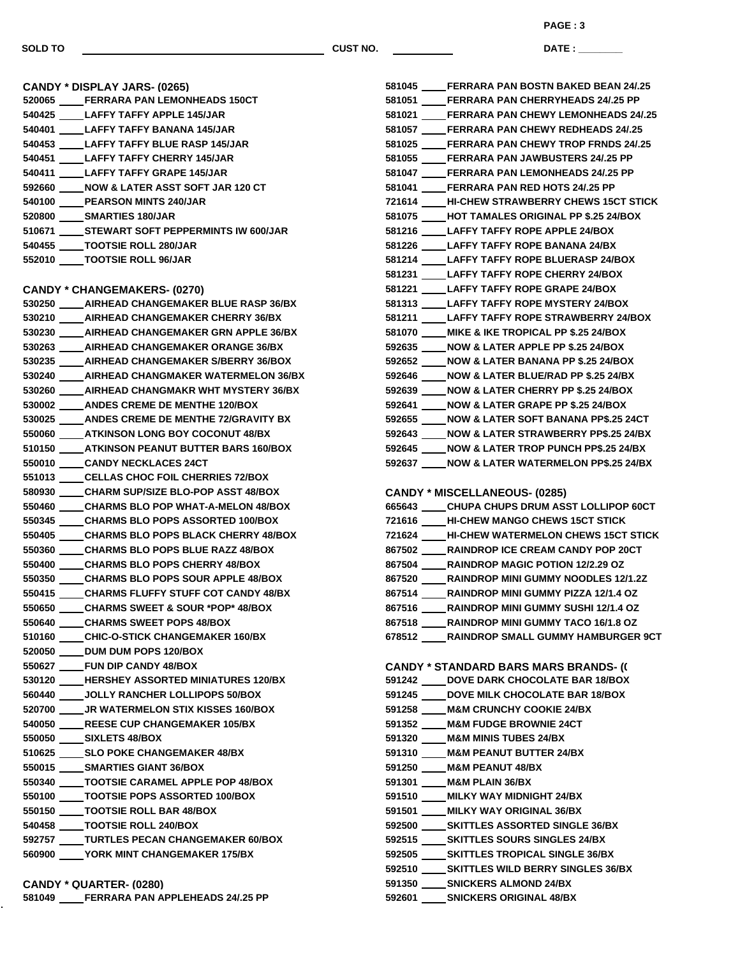**PAGE : 3**

**DATE : \_\_\_\_\_\_\_\_\_\_\_\_\_\_\_**

| CANDY * DISPLAY JARS- (0265)<br>520065 ____FERRARA PAN LEMONHEADS 150CT |
|-------------------------------------------------------------------------|
| 540425 LAFFY TAFFY APPLE 145/JAR                                        |
| 540401 LAFFY TAFFY BANANA 145/JAR                                       |
| 540453 LAFFY TAFFY BLUE RASP 145/JAR                                    |
| 540451 LAFFY TAFFY CHERRY 145/JAR                                       |
| 540411 LAFFY TAFFY GRAPE 145/JAR                                        |
| 592660 NOW & LATER ASST SOFT JAR 120 CT                                 |
| 540100 PEARSON MINTS 240/JAR                                            |
| 520800 _____ SMARTIES 180/JAR                                           |
| 510671 STEWART SOFT PEPPERMINTS IW 600/JAR                              |
| 540455 TOOTSIE ROLL 280/JAR                                             |
| 552010 TOOTSIE ROLL 96/JAR                                              |
| <b>CANDY * CHANGEMAKERS- (0270)</b>                                     |
| 530250 ____ AIRHEAD CHANGEMAKER BLUE RASP 36/BX                         |
| 530210 _____ AIRHEAD CHANGEMAKER CHERRY 36/BX                           |
| 530230 _____ AIRHEAD CHANGEMAKER GRN APPLE 36/BX                        |
| 530263 _____ AIRHEAD CHANGEMAKER ORANGE 36/BX                           |
| 530235 ____ AIRHEAD CHANGEMAKER S/BERRY 36/BOX                          |
| 530240 _____ AIRHEAD CHANGMAKER WATERMELON 36/BX                        |
| 530260 _____ AIRHEAD CHANGMAKR WHT MYSTERY 36/BX                        |
| 530002 _____ ANDES CREME DE MENTHE 120/BOX                              |
| 530025 _____ ANDES CREME DE MENTHE 72/GRAVITY BX                        |
| 550060 ATKINSON LONG BOY COCONUT 48/BX                                  |
| 510150 _____ ATKINSON PEANUT BUTTER BARS 160/BOX                        |
| 550010 CANDY NECKLACES 24CT                                             |
| 551013 CELLAS CHOC FOIL CHERRIES 72/BOX                                 |
| 580930 CHARM SUP/SIZE BLO-POP ASST 48/BOX                               |
| 550460 CHARMS BLO POP WHAT-A-MELON 48/BOX                               |
| 550345 CHARMS BLO POPS ASSORTED 100/BOX                                 |
| 550405 _____ CHARMS BLO POPS BLACK CHERRY 48/BOX                        |
| 550360 CHARMS BLO POPS BLUE RAZZ 48/BOX                                 |
| 550400 _____ CHARMS BLO POPS CHERRY 48/BOX                              |
| 550350 CHARMS BLO POPS SOUR APPLE 48/BOX                                |
| 550415 CHARMS FLUFFY STUFF COT CANDY 48/BX                              |
| 550650 CHARMS SWEET & SOUR *POP* 48/BOX                                 |
| 550640 CHARMS SWEET POPS 48/BOX                                         |
| 510160 CHIC-O-STICK CHANGEMAKER 160/BX                                  |
| 520050 DUM DUM POPS 120/BOX                                             |
| 550627 FUN DIP CANDY 48/BOX                                             |
| 530120 ____ HERSHEY ASSORTED MINIATURES 120/BX                          |
| 560440 _____ JOLLY RANCHER LOLLIPOPS 50/BOX                             |
| 520700 _____ JR WATERMELON STIX KISSES 160/BOX                          |
| 540050 REESE CUP CHANGEMAKER 105/BX                                     |
| 550050 ____ SIXLETS 48/BOX                                              |
| 510625 ______ SLO POKE CHANGEMAKER 48/BX                                |
| 550015 _____ SMARTIES GIANT 36/BOX                                      |
| 550340 TOOTSIE CARAMEL APPLE POP 48/BOX                                 |
| 550100 _____TOOTSIE POPS ASSORTED 100/BOX                               |
| 550150 _____ TOOTSIE ROLL BAR 48/BOX                                    |
| 540458 _____ TOOTSIE ROLL 240/BOX                                       |
| 592757 TURTLES PECAN CHANGEMAKER 60/BOX                                 |
| 560900 _____ YORK MINT CHANGEMAKER 175/BX                               |
|                                                                         |

**FERRARA PAN APPLEHEADS 24/.25 PP**

| 581045 FERRARA PAN BOSTN BAKED BEAN 24/.25                                           |
|--------------------------------------------------------------------------------------|
| 581051 FERRARA PAN CHERRYHEADS 24/.25 PP                                             |
| 581021 FERRARA PAN CHEWY LEMONHEADS 24/.25                                           |
| 581057 ____FERRARA PAN CHEWY REDHEADS 24/.25                                         |
| 581025 ____FERRARA PAN CHEWY TROP FRNDS 24/.25                                       |
| 581055 ____FERRARA PAN JAWBUSTERS 24/.25 PP                                          |
| 581047 ____FERRARA PAN LEMONHEADS 24/.25 PP                                          |
| 581041 ____FERRARA PAN RED HOTS 24/.25 PP                                            |
| 721614 ____HI-CHEW STRAWBERRY CHEWS 15CT STICK                                       |
| 581075 ____ HOT TAMALES ORIGINAL PP \$.25 24/BOX                                     |
| 581216 _____ LAFFY TAFFY ROPE APPLE 24/BOX                                           |
| 581226 _____ LAFFY TAFFY ROPE BANANA 24/BX                                           |
| 581214 _____ LAFFY TAFFY ROPE BLUERASP 24/BOX                                        |
| 581231 _____ LAFFY TAFFY ROPE CHERRY 24/BOX                                          |
| 581221 _____ LAFFY TAFFY ROPE GRAPE 24/BOX                                           |
| 581313 _____ LAFFY TAFFY ROPE MYSTERY 24/BOX                                         |
| 581211 _____ LAFFY TAFFY ROPE STRAWBERRY 24/BOX                                      |
| 581070 ____ MIKE & IKE TROPICAL PP \$.25 24/BOX                                      |
| 592635 NOW & LATER APPLE PP \$.25 24/BOX                                             |
| 592652 NOW & LATER BANANA PP \$.25 24/BOX                                            |
| 592646 _____ NOW & LATER BLUE/RAD PP \$.25 24/BX                                     |
| 592639 NOW & LATER CHERRY PP \$.25 24/BOX                                            |
| 592641 NOW & LATER GRAPE PP \$.25 24/BOX                                             |
|                                                                                      |
| 592655 NOW & LATER SOFT BANANA PP\$.25 24CT                                          |
| 592643 ____ NOW & LATER STRAWBERRY PP\$.25 24/BX                                     |
| 592645 ____ NOW & LATER TROP PUNCH PP\$.25 24/BX                                     |
| 592637 NOW & LATER WATERMELON PP\$.25 24/BX                                          |
|                                                                                      |
|                                                                                      |
| <b>CANDY * MISCELLANEOUS- (0285)</b>                                                 |
| 665643 ____CHUPA CHUPS DRUM ASST LOLLIPOP 60CT                                       |
| 721616 ____HI-CHEW MANGO CHEWS 15CT STICK                                            |
| 721624 _____HI-CHEW WATERMELON CHEWS 15CT STICK                                      |
| 867502 RAINDROP ICE CREAM CANDY POP 20CT                                             |
| 867504 RAINDROP MAGIC POTION 12/2.29 OZ                                              |
| 867520 RAINDROP MINI GUMMY NOODLES 12/1.2Z                                           |
| 867514 RAINDROP MINI GUMMY PIZZA 12/1.4 OZ                                           |
| 867516 ____ RAINDROP MINI GUMMY SUSHI 12/1.4 OZ                                      |
| 867518 ____RAINDROP MINI GUMMY TACO 16/1.8 OZ                                        |
| 678512 RAINDROP SMALL GUMMY HAMBURGER 9CT                                            |
|                                                                                      |
| <b>CANDY * STANDARD BARS MARS BRANDS- (()</b>                                        |
| 591242 ____ DOVE DARK CHOCOLATE BAR 18/BOX                                           |
| 591245 _____ DOVE MILK CHOCOLATE BAR 18/BOX                                          |
| 591258 ____ M&M CRUNCHY COOKIE 24/BX                                                 |
| 591352 ____ M&M FUDGE BROWNIE 24CT                                                   |
| 591320 ____ M&M MINIS TUBES 24/BX                                                    |
| 591310 ____ M&M PEANUT BUTTER 24/BX                                                  |
| 591250 ____ M&M PEANUT 48/BX                                                         |
| 591301 ____ M&M PLAIN 36/BX                                                          |
| 591510 ____ MILKY WAY MIDNIGHT 24/BX                                                 |
| 591501 ____ MILKY WAY ORIGINAL 36/BX                                                 |
| 592500 _____ SKITTLES ASSORTED SINGLE 36/BX                                          |
| 592515 _____ SKITTLES SOURS SINGLES 24/BX                                            |
| 592505 _____ SKITTLES TROPICAL SINGLE 36/BX                                          |
| 592510 _____ SKITTLES WILD BERRY SINGLES 36/BX<br>591350 _____ SNICKERS ALMOND 24/BX |

**SNICKERS ORIGINAL 48/BX**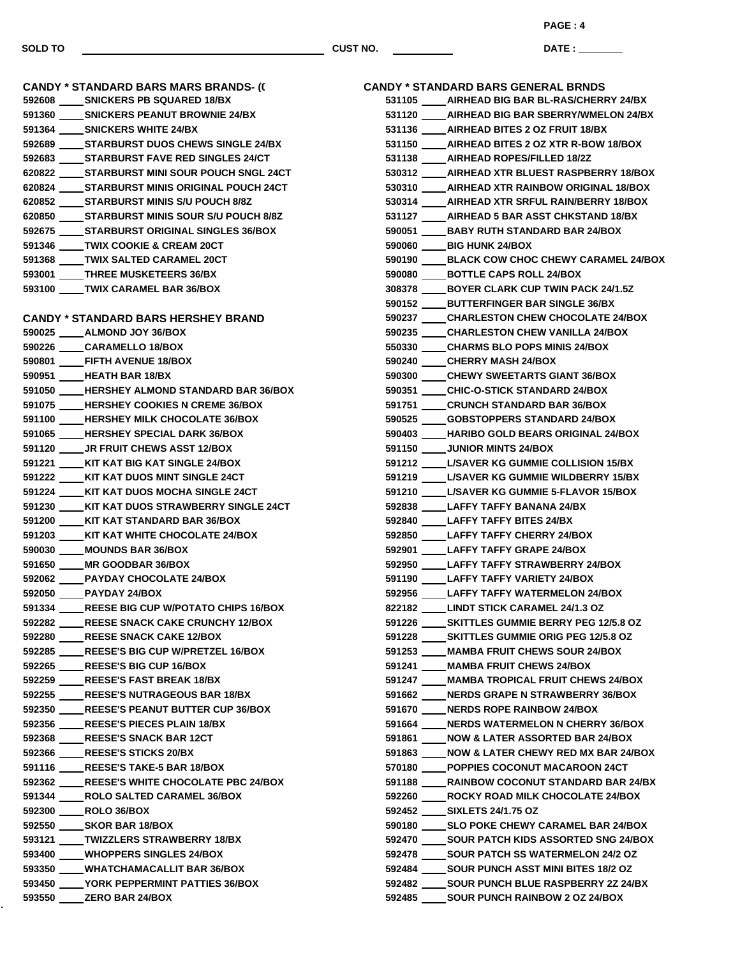**PAGE : 4**

**DATE : \_\_\_\_\_\_\_\_\_\_\_\_\_\_\_**

**CANDY \* STANDARD BARS MARS BRANDS- (0) SNICKERS PB SQUARED 18/BX SNICKERS PEANUT BROWNIE 24/BX SNICKERS WHITE 24/BX STARBURST DUOS CHEWS SINGLE 24/BX STARBURST FAVE RED SINGLES 24/CT STARBURST MINI SOUR POUCH SNGL 24CT STARBURST MINIS ORIGINAL POUCH 24CT STARBURST MINIS S/U POUCH 8/8Z STARBURST MINIS SOUR S/U POUCH 8/8Z STARBURST ORIGINAL SINGLES 36/BOX TWIX COOKIE & CREAM 20CT TWIX SALTED CARAMEL 20CT THREE MUSKETEERS 36/BX TWIX CARAMEL BAR 36/BOX CANDY \* STANDARD BARS HERSHEY BRAND ALMOND JOY 36/BOX CARAMELLO 18/BOX FIFTH AVENUE 18/BOX HEATH BAR 18/BX HERSHEY ALMOND STANDARD BAR 36/BOX HERSHEY COOKIES N CREME 36/BOX HERSHEY MILK CHOCOLATE 36/BOX HERSHEY SPECIAL DARK 36/BOX JR FRUIT CHEWS ASST 12/BOX KIT KAT BIG KAT SINGLE 24/BOX KIT KAT DUOS MINT SINGLE 24CT KIT KAT DUOS MOCHA SINGLE 24CT KIT KAT DUOS STRAWBERRY SINGLE 24CT KIT KAT STANDARD BAR 36/BOX KIT KAT WHITE CHOCOLATE 24/BOX MOUNDS BAR 36/BOX MR GOODBAR 36/BOX PAYDAY CHOCOLATE 24/BOX PAYDAY 24/BOX REESE BIG CUP W/POTATO CHIPS 16/BOX REESE SNACK CAKE CRUNCHY 12/BOX REESE SNACK CAKE 12/BOX REESE'S BIG CUP W/PRETZEL 16/BOX REESE'S BIG CUP 16/BOX REESE'S FAST BREAK 18/BX REESE'S NUTRAGEOUS BAR 18/BX REESE'S PEANUT BUTTER CUP 36/BOX REESE'S PIECES PLAIN 18/BX REESE'S SNACK BAR 12CT REESE'S STICKS 20/BX REESE'S TAKE-5 BAR 18/BOX REESE'S WHITE CHOCOLATE PBC 24/BOX ROLO SALTED CARAMEL 36/BOX ROLO 36/BOX SKOR BAR 18/BOX TWIZZLERS STRAWBERRY 18/BX WHOPPERS SINGLES 24/BOX WHATCHAMACALLIT BAR 36/BOX YORK PEPPERMINT PATTIES 36/BOX ZERO BAR 24/BOX**

|        | CANDY * STANDARD BARS GENERAL BRNDS                                                                |
|--------|----------------------------------------------------------------------------------------------------|
|        | 531105 _____ AIRHEAD BIG BAR BL-RAS/CHERRY 24/BX                                                   |
|        | 531120 ____ AIRHEAD BIG BAR SBERRY/WMELON 24/BX                                                    |
|        | 531136 _____ AIRHEAD BITES 2 OZ FRUIT 18/BX                                                        |
|        | 531150 ____ AIRHEAD BITES 2 OZ XTR R-BOW 18/BOX                                                    |
|        | 531138 _____ AIRHEAD ROPES/FILLED 18/2Z                                                            |
|        | 530312 ____ AIRHEAD XTR BLUEST RASPBERRY 18/BOX                                                    |
|        | 530310 ____ AIRHEAD XTR RAINBOW ORIGINAL 18/BOX                                                    |
|        | 530314 ____ AIRHEAD XTR SRFUL RAIN/BERRY 18/BOX                                                    |
| 531127 | ____AIRHEAD 5 BAR ASST CHKSTAND 18/BX                                                              |
|        | 590051 BABY RUTH STANDARD BAR 24/BOX                                                               |
|        | 590060 BIG HUNK 24/BOX                                                                             |
|        | 590190 _____ BLACK COW CHOC CHEWY CARAMEL 24/BOX                                                   |
|        | 590080 _____ BOTTLE CAPS ROLL 24/BOX                                                               |
|        | 308378 BOYER CLARK CUP TWIN PACK 24/1.5Z                                                           |
|        | 590152 BUTTERFINGER BAR SINGLE 36/BX                                                               |
| 590237 | CHARLESTON CHEW CHOCOLATE 24/BOX                                                                   |
|        | 590235 _____ CHARLESTON CHEW VANILLA 24/BOX                                                        |
|        | 550330 CHARMS BLO POPS MINIS 24/BOX                                                                |
|        | 590240 CHERRY MASH 24/BOX                                                                          |
|        | 590300 CHEWY SWEETARTS GIANT 36/BOX                                                                |
|        | 590351 CHIC-O-STICK STANDARD 24/BOX                                                                |
| 591751 | <b>CRUNCH STANDARD BAR 36/BOX</b>                                                                  |
|        | 590525 GOBSTOPPERS STANDARD 24/BOX                                                                 |
|        | 590403 HARIBO GOLD BEARS ORIGINAL 24/BOX                                                           |
|        | 591150 _____ JUNIOR MINTS 24/BOX                                                                   |
|        | 591212 L/SAVER KG GUMMIE COLLISION 15/BX                                                           |
|        | 591219 L/SAVER KG GUMMIE WILDBERRY 15/BX                                                           |
|        | 591210 L/SAVER KG GUMMIE 5-FLAVOR 15/BOX                                                           |
|        | 592838 LAFFY TAFFY BANANA 24/BX                                                                    |
|        | 592840 LAFFY TAFFY BITES 24/BX                                                                     |
|        | 592850 LAFFY TAFFY CHERRY 24/BOX                                                                   |
|        | 592901 LAFFY TAFFY GRAPE 24/BOX                                                                    |
|        | 592950 LAFFY TAFFY STRAWBERRY 24/BOX                                                               |
|        | 591190 LAFFY TAFFY VARIETY 24/BOX                                                                  |
|        | 592956 LAFFY TAFFY WATERMELON 24/BOX                                                               |
|        | 822182 LINDT STICK CARAMEL 24/1.3 OZ                                                               |
| 591226 | SKITTLES GUMMIE BERRY PEG 12/5.8 OZ                                                                |
|        | 591228 _____ SKITTLES GUMMIE ORIG PEG 12/5.8 OZ                                                    |
|        | 591253 ____ MAMBA FRUIT CHEWS SOUR 24/BOX                                                          |
| 591241 | MAMBA FRUIT CHEWS 24/BOX                                                                           |
| 591247 | MAMBA TROPICAL FRUIT CHEWS 24/BOX                                                                  |
|        | 591662 ____ NERDS GRAPE N STRAWBERRY 36/BOX                                                        |
|        | 591670 _____ NERDS ROPE RAINBOW 24/BOX                                                             |
|        | 591664 _____ NERDS WATERMELON N CHERRY 36/BOX                                                      |
| 591861 | NOW & LATER ASSORTED BAR 24/BOX                                                                    |
|        | 591863 _____ NOW & LATER CHEWY RED MX BAR 24/BOX                                                   |
|        | 570180 ____POPPIES COCONUT MACAROON 24CT                                                           |
|        | 591188 _____ RAINBOW COCONUT STANDARD BAR 24/BX                                                    |
|        | 592260 _____ ROCKY ROAD MILK CHOCOLATE 24/BOX                                                      |
|        | 592452 _____ SIXLETS 24/1.75 OZ                                                                    |
|        | 590180 _____ SLO POKE CHEWY CARAMEL BAR 24/BOX<br>592470 _____ SOUR PATCH KIDS ASSORTED SNG 24/BOX |
|        |                                                                                                    |
|        | 592478 _____ SOUR PATCH SS WATERMELON 24/2 OZ                                                      |
|        | 592484 ______ SOUR PUNCH ASST MINI BITES 18/2 OZ                                                   |
|        | 592482 _____ SOUR PUNCH BLUE RASPBERRY 2Z 24/BX                                                    |
|        | 592485 SOUR PUNCH RAINBOW 2 OZ 24/BOX                                                              |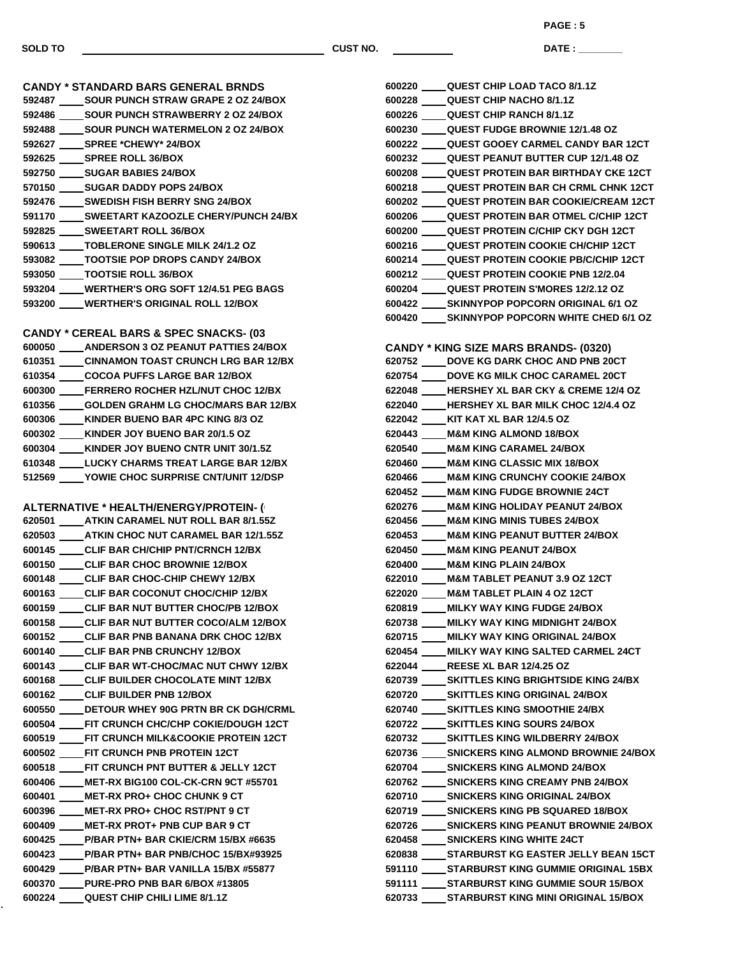**CANDY \* STANDARD BARS GENERAL BRNDS SOUR PUNCH STRAW GRAPE 2 OZ 24/BOX SOUR PUNCH STRAWBERRY 2 OZ 24/BOX SOUR PUNCH WATERMELON 2 OZ 24/BOX SPREE \*CHEWY\* 24/BOX SPREE ROLL 36/BOX SUGAR BABIES 24/BOX SUGAR DADDY POPS 24/BOX SWEDISH FISH BERRY SNG 24/BOX SWEETART KAZOOZLE CHERY/PUNCH 24/BX SWEETART ROLL 36/BOX TOBLERONE SINGLE MILK 24/1.2 OZ TOOTSIE POP DROPS CANDY 24/BOX TOOTSIE ROLL 36/BOX WERTHER'S ORG SOFT 12/4.51 PEG BAGS**

**CANDY \* CEREAL BARS & SPEC SNACKS- (0310) ANDERSON 3 OZ PEANUT PATTIES 24/BOX CINNAMON TOAST CRUNCH LRG BAR 12/BX COCOA PUFFS LARGE BAR 12/BOX FERRERO ROCHER HZL/NUT CHOC 12/BX GOLDEN GRAHM LG CHOC/MARS BAR 12/BX KINDER BUENO BAR 4PC KING 8/3 OZ KINDER JOY BUENO BAR 20/1.5 OZ KINDER JOY BUENO CNTR UNIT 30/1.5Z LUCKY CHARMS TREAT LARGE BAR 12/BX YOWIE CHOC SURPRISE CNT/UNIT 12/DSP**

**WERTHER'S ORIGINAL ROLL 12/BOX**

**ALTERNATIVE \* HEALTH/ENERGY/PROTEIN- ( ATKIN CARAMEL NUT ROLL BAR 8/1.55Z ATKIN CHOC NUT CARAMEL BAR 12/1.55Z CLIF BAR CH/CHIP PNT/CRNCH 12/BX CLIF BAR CHOC BROWNIE 12/BOX CLIF BAR CHOC-CHIP CHEWY 12/BX CLIF BAR COCONUT CHOC/CHIP 12/BX CLIF BAR NUT BUTTER CHOC/PB 12/BOX CLIF BAR NUT BUTTER COCO/ALM 12/BOX CLIF BAR PNB BANANA DRK CHOC 12/BX CLIF BAR PNB CRUNCHY 12/BOX CLIF BAR WT-CHOC/MAC NUT CHWY 12/BX CLIF BUILDER CHOCOLATE MINT 12/BX CLIF BUILDER PNB 12/BOX DETOUR WHEY 90G PRTN BR CK DGH/CRML FIT CRUNCH CHC/CHP COKIE/DOUGH 12CT FIT CRUNCH MILK&COOKIE PROTEIN 12CT FIT CRUNCH PNB PROTEIN 12CT FIT CRUNCH PNT BUTTER & JELLY 12CT MET-RX BIG100 COL-CK-CRN 9CT #55701 MET-RX PRO+ CHOC CHUNK 9 CT MET-RX PRO+ CHOC RST/PNT 9 CT MET-RX PROT+ PNB CUP BAR 9 CT P/BAR PTN+ BAR CKIE/CRM 15/BX #6635 P/BAR PTN+ BAR PNB/CHOC 15/BX#93925 P/BAR PTN+ BAR VANILLA 15/BX #55877 PURE-PRO PNB BAR 6/BOX #13805 QUEST CHIP CHILI LIME 8/1.1Z**

 **QUEST CHIP LOAD TACO 8/1.1Z QUEST CHIP NACHO 8/1.1Z QUEST CHIP RANCH 8/1.1Z QUEST FUDGE BROWNIE 12/1.48 OZ QUEST GOOEY CARMEL CANDY BAR 12CT QUEST PEANUT BUTTER CUP 12/1.48 OZ QUEST PROTEIN BAR BIRTHDAY CKE 12CT QUEST PROTEIN BAR CH CRML CHNK 12CT QUEST PROTEIN BAR COOKIE/CREAM 12CT QUEST PROTEIN BAR OTMEL C/CHIP 12CT QUEST PROTEIN C/CHIP CKY DGH 12CT QUEST PROTEIN COOKIE CH/CHIP 12CT QUEST PROTEIN COOKIE PB/C/CHIP 12CT QUEST PROTEIN COOKIE PNB 12/2.04 QUEST PROTEIN S'MORES 12/2.12 OZ SKINNYPOP POPCORN ORIGINAL 6/1 OZ SKINNYPOP POPCORN WHITE CHED 6/1 OZ CANDY \* KING SIZE MARS BRANDS- (0320) DOVE KG DARK CHOC AND PNB 20CT DOVE KG MILK CHOC CARAMEL 20CT HERSHEY XL BAR CKY & CREME 12/4 OZ HERSHEY XL BAR MILK CHOC 12/4.4 OZ KIT KAT XL BAR 12/4.5 OZ M&M KING ALMOND 18/BOX M&M KING CARAMEL 24/BOX M&M KING CLASSIC MIX 18/BOX M&M KING CRUNCHY COOKIE 24/BOX M&M KING FUDGE BROWNIE 24CT M&M KING HOLIDAY PEANUT 24/BOX M&M KING MINIS TUBES 24/BOX M&M KING PEANUT BUTTER 24/BOX M&M KING PEANUT 24/BOX M&M KING PLAIN 24/BOX M&M TABLET PEANUT 3.9 OZ 12CT M&M TABLET PLAIN 4 OZ 12CT MILKY WAY KING FUDGE 24/BOX MILKY WAY KING MIDNIGHT 24/BOX MILKY WAY KING ORIGINAL 24/BOX MILKY WAY KING SALTED CARMEL 24CT REESE XL BAR 12/4.25 OZ SKITTLES KING BRIGHTSIDE KING 24/BX SKITTLES KING ORIGINAL 24/BOX SKITTLES KING SMOOTHIE 24/BX SKITTLES KING SOURS 24/BOX SKITTLES KING WILDBERRY 24/BOX SNICKERS KING ALMOND BROWNIE 24/BOX SNICKERS KING ALMOND 24/BOX SNICKERS KING CREAMY PNB 24/BOX SNICKERS KING ORIGINAL 24/BOX SNICKERS KING PB SQUARED 18/BOX SNICKERS KING PEANUT BROWNIE 24/BOX SNICKERS KING WHITE 24CT STARBURST KG EASTER JELLY BEAN 15CT STARBURST KING GUMMIE ORIGINAL 15BX STARBURST KING GUMMIE SOUR 15/BOX STARBURST KING MINI ORIGINAL 15/BOX**

**SOLD TO CUST NO.**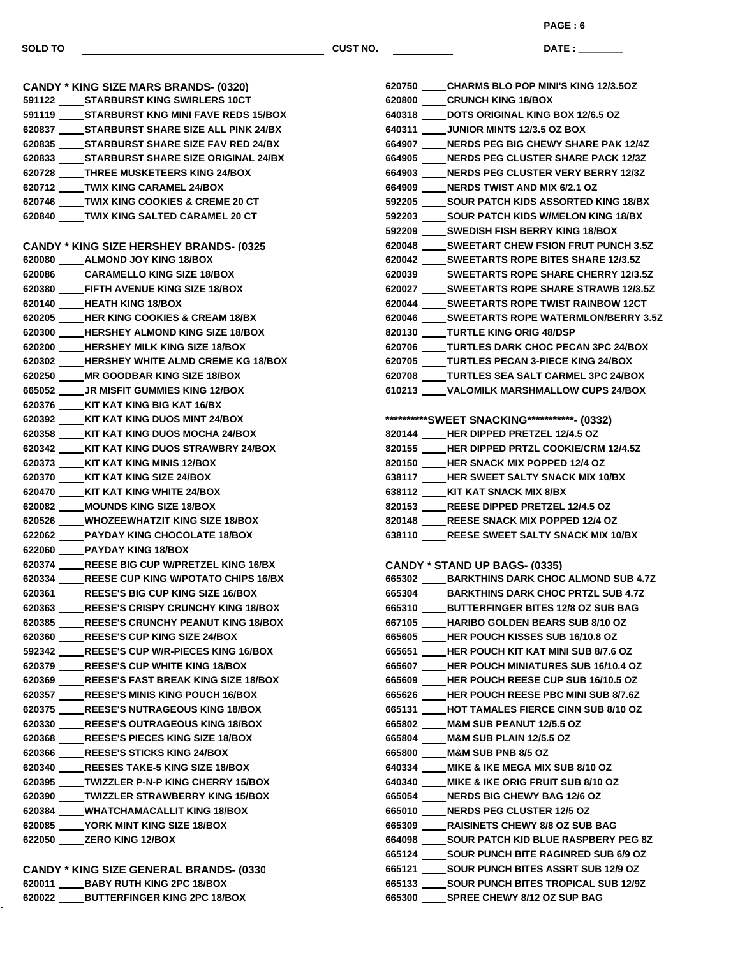**CANDY \* KING SIZE MARS BRANDS- (0320)**

**SOLD TO CUST NO.**

**DATE : \_\_\_\_\_\_\_\_\_\_\_\_\_\_\_ PAGE : 6**

**CHARMS BLO POP MINI'S KING 12/3.5OZ**

 **STARBURST KING SWIRLERS 10CT STARBURST KNG MINI FAVE REDS 15/BOX STARBURST SHARE SIZE ALL PINK 24/BX STARBURST SHARE SIZE FAV RED 24/BX STARBURST SHARE SIZE ORIGINAL 24/BX THREE MUSKETEERS KING 24/BOX TWIX KING CARAMEL 24/BOX TWIX KING COOKIES & CREME 20 CT TWIX KING SALTED CARAMEL 20 CT CANDY \* KING SIZE HERSHEY BRANDS- (0325) ALMOND JOY KING 18/BOX CARAMELLO KING SIZE 18/BOX FIFTH AVENUE KING SIZE 18/BOX HEATH KING 18/BOX HER KING COOKIES & CREAM 18/BX HERSHEY ALMOND KING SIZE 18/BOX HERSHEY MILK KING SIZE 18/BOX HERSHEY WHITE ALMD CREME KG 18/BOX MR GOODBAR KING SIZE 18/BOX JR MISFIT GUMMIES KING 12/BOX KIT KAT KING BIG KAT 16/BX KIT KAT KING DUOS MINT 24/BOX KIT KAT KING DUOS MOCHA 24/BOX KIT KAT KING DUOS STRAWBRY 24/BOX KIT KAT KING MINIS 12/BOX KIT KAT KING SIZE 24/BOX KIT KAT KING WHITE 24/BOX MOUNDS KING SIZE 18/BOX WHOZEEWHATZIT KING SIZE 18/BOX PAYDAY KING CHOCOLATE 18/BOX PAYDAY KING 18/BOX REESE BIG CUP W/PRETZEL KING 16/BX REESE CUP KING W/POTATO CHIPS 16/BX REESE'S BIG CUP KING SIZE 16/BOX REESE'S CRISPY CRUNCHY KING 18/BOX REESE'S CRUNCHY PEANUT KING 18/BOX REESE'S CUP KING SIZE 24/BOX REESE'S CUP W/R-PIECES KING 16/BOX REESE'S CUP WHITE KING 18/BOX REESE'S FAST BREAK KING SIZE 18/BOX REESE'S MINIS KING POUCH 16/BOX REESE'S NUTRAGEOUS KING 18/BOX REESE'S OUTRAGEOUS KING 18/BOX REESE'S PIECES KING SIZE 18/BOX REESE'S STICKS KING 24/BOX REESES TAKE-5 KING SIZE 18/BOX TWIZZLER P-N-P KING CHERRY 15/BOX TWIZZLER STRAWBERRY KING 15/BOX WHATCHAMACALLIT KING 18/BOX YORK MINT KING SIZE 18/BOX ZERO KING 12/BOX**

**CANDY \* KING SIZE GENERAL BRANDS- (0330) BABY RUTH KING 2PC 18/BOX BUTTERFINGER KING 2PC 18/BOX**

| 620800 ____CRUNCH KING 18/BOX                    |
|--------------------------------------------------|
| 640318 ____ DOTS ORIGINAL KING BOX 12/6.5 OZ     |
| 640311 _____ JUNIOR MINTS 12/3.5 OZ BOX          |
| 664907 ____ NERDS PEG BIG CHEWY SHARE PAK 12/4Z  |
| 664905 ____ NERDS PEG CLUSTER SHARE PACK 12/3Z   |
| 664903 ____NERDS PEG CLUSTER VERY BERRY 12/3Z    |
| 664909 _____ NERDS TWIST AND MIX 6/2.1 OZ        |
| 592205 _____ SOUR PATCH KIDS ASSORTED KING 18/BX |
| 592203 _____ SOUR PATCH KIDS W/MELON KING 18/BX  |
| 592209 _____SWEDISH FISH BERRY KING 18/BOX       |
| 620048 _____ SWEETART CHEW FSION FRUT PUNCH 3.5Z |
| 620042 _____ SWEETARTS ROPE BITES SHARE 12/3.5Z  |
| 620039 _____ SWEETARTS ROPE SHARE CHERRY 12/3.5Z |
| 620027 _____ SWEETARTS ROPE SHARE STRAWB 12/3.5Z |
| 620044 _____ SWEETARTS ROPE TWIST RAINBOW 12CT   |
| 620046 _____ SWEETARTS ROPE WATERMLON/BERRY 3.5Z |
| 820130 ____TURTLE KING ORIG 48/DSP               |
| 620706 ____TURTLES DARK CHOC PECAN 3PC 24/BOX    |
| 620705 ____TURTLES PECAN 3-PIECE KING 24/BOX     |
| 620708 ____TURTLES SEA SALT CARMEL 3PC 24/BOX    |
| 610213 ____ VALOMILK MARSHMALLOW CUPS 24/BOX     |
|                                                  |
| **********SWEET SNACKING*********** (0332)       |
| 820144 ____HER DIPPED PRETZEL 12/4.5 OZ          |
| 820155 ____HER DIPPED PRTZL COOKIE/CRM 12/4.5Z   |
| 820150 ____HER SNACK MIX POPPED 12/4 OZ          |
| 638117 ____HER SWEET SALTY SNACK MIX 10/BX       |
| 638112 ____ KIT KAT SNACK MIX 8/BX               |
| 820153 ____REESE DIPPED PRETZEL 12/4.5 OZ        |
| 820148 ____REESE SNACK MIX POPPED 12/4 OZ        |
| 638110 ____REESE SWEET SALTY SNACK MIX 10/BX     |
|                                                  |
| <b>CANDY * STAND UP BAGS- (0335)</b>             |
| 665302 ____ BARKTHINS DARK CHOC ALMOND SUB 4.7Z  |
| 665304 _____ BARKTHINS DARK CHOC PRTZL SUB 4.7Z  |
| 665310 ____ BUTTERFINGER BITES 12/8 OZ SUB BAG   |
| 667105 ____ HARIBO GOLDEN BEARS SUB 8/10 OZ      |
| 665605 ____HER POUCH KISSES SUB 16/10.8 OZ       |
| 665651 ____HER POUCH KIT KAT MINI SUB 8/7.6 OZ   |
| 665607 ____HER POUCH MINIATURES SUB 16/10.4 OZ   |
| 665609 ____HER POUCH REESE CUP SUB 16/10.5 OZ    |
| 665626 ____HER POUCH REESE PBC MINI SUB 8/7.6Z   |
| 665131 ____ HOT TAMALES FIERCE CINN SUB 8/10 OZ  |
| 665802 ____ M&M SUB PEANUT 12/5.5 OZ             |
| 665804 _____ M&M SUB PLAIN 12/5.5 OZ             |
| 665800 ____ M&M SUB PNB 8/5 OZ                   |
| 640334 ____ MIKE & IKE MEGA MIX SUB 8/10 OZ      |
| 640340 ____ MIKE & IKE ORIG FRUIT SUB 8/10 OZ    |
| 665054 ____NERDS BIG CHEWY BAG 12/6 OZ           |
| 665010 ____ NERDS PEG CLUSTER 12/5 OZ            |
| 665309 ____RAISINETS CHEWY 8/8 OZ SUB BAG        |
| 664098 _____ SOUR PATCH KID BLUE RASPBERY PEG 8Z |
| 665124 _____ SOUR PUNCH BITE RAGINRED SUB 6/9 OZ |
| 665121 _____ SOUR PUNCH BITES ASSRT SUB 12/9 OZ  |
| 665133 _____ SOUR PUNCH BITES TROPICAL SUB 12/9Z |
| 665300 _____ SPREE CHEWY 8/12 OZ SUP BAG         |
|                                                  |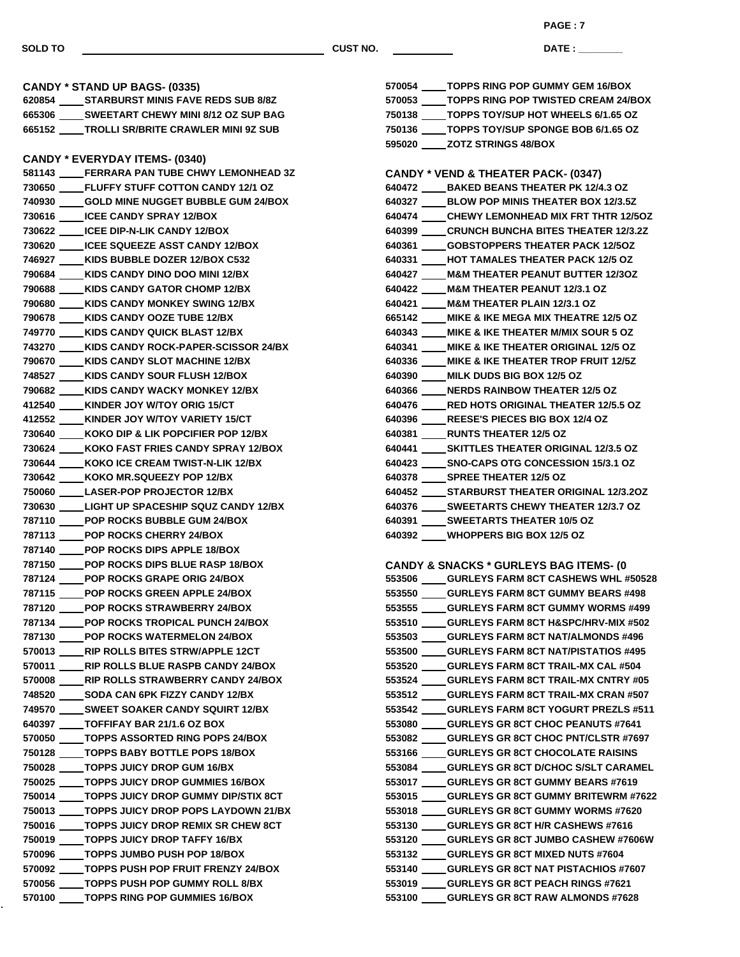ä,

**SOLD TO CUST NO.**

**DATE : \_\_\_\_\_\_\_\_\_\_\_\_\_\_\_ PAGE : 7**

| CANDY * STAND UP BAGS- (0335)                    | 570054 _____TOPPS RING POP GUMMY GEM 16/BOX        |
|--------------------------------------------------|----------------------------------------------------|
| 620854 _____ STARBURST MINIS FAVE REDS SUB 8/8Z  | 570053 _____ TOPPS RING POP TWISTED CREAM 24/BOX   |
| 665306 _____ SWEETART CHEWY MINI 8/12 OZ SUP BAG | 750138 ____TOPPS TOY/SUP HOT WHEELS 6/1.65 OZ      |
|                                                  | 750136 ____TOPPS TOY/SUP SPONGE BOB 6/1.65 OZ      |
|                                                  | 595020 _____ ZOTZ STRINGS 48/BOX                   |
| <b>CANDY * EVERYDAY ITEMS- (0340)</b>            |                                                    |
| 581143 ____FERRARA PAN TUBE CHWY LEMONHEAD 3Z    | <b>CANDY * VEND &amp; THEATER PACK- (0347)</b>     |
| 730650 ____ FLUFFY STUFF COTTON CANDY 12/1 OZ    | 640472 _____ BAKED BEANS THEATER PK 12/4.3 OZ      |
| 740930 _____ GOLD MINE NUGGET BUBBLE GUM 24/BOX  | 640327 _____ BLOW POP MINIS THEATER BOX 12/3.5Z    |
| 730616 _____ ICEE CANDY SPRAY 12/BOX             | 640474 _____ CHEWY LEMONHEAD MIX FRT THTR 12/5OZ   |
| 730622 _____ ICEE DIP-N-LIK CANDY 12/BOX         | 640399 _____ CRUNCH BUNCHA BITES THEATER 12/3.2Z   |
| 730620 _____ ICEE SQUEEZE ASST CANDY 12/BOX      | 640361 _____ GOBSTOPPERS THEATER PACK 12/50Z       |
| 746927 ____ KIDS BUBBLE DOZER 12/BOX C532        | 640331 ____HOT TAMALES THEATER PACK 12/5 OZ        |
| 790684 ____ KIDS CANDY DINO DOO MINI 12/BX       | 640427 ____ M&M THEATER PEANUT BUTTER 12/3OZ       |
| 790688 ____ KIDS CANDY GATOR CHOMP 12/BX         | 640422 ____ M&M THEATER PEANUT 12/3.1 OZ           |
| 790680 ____ KIDS CANDY MONKEY SWING 12/BX        | 640421 ____ M&M THEATER PLAIN 12/3.1 OZ            |
| 790678 ____ KIDS CANDY OOZE TUBE 12/BX           | 665142 ____ MIKE & IKE MEGA MIX THEATRE 12/5 OZ    |
| 749770 ____ KIDS CANDY QUICK BLAST 12/BX         | 640343 ____ MIKE & IKE THEATER M/MIX SOUR 5 OZ     |
| 743270 ____ KIDS CANDY ROCK-PAPER-SCISSOR 24/BX  | 640341 ____ MIKE & IKE THEATER ORIGINAL 12/5 OZ    |
| 790670 ____ KIDS CANDY SLOT MACHINE 12/BX        | 640336 ____ MIKE & IKE THEATER TROP FRUIT 12/5Z    |
| 748527 ____ KIDS CANDY SOUR FLUSH 12/BOX         | 640390 ____ MILK DUDS BIG BOX 12/5 OZ              |
| 790682 ____ KIDS CANDY WACKY MONKEY 12/BX        | 640366 ____ NERDS RAINBOW THEATER 12/5 OZ          |
| 412540 ____ KINDER JOY W/TOY ORIG 15/CT          | 640476 _____ RED HOTS ORIGINAL THEATER 12/5.5 OZ   |
| 412552 ____ KINDER JOY W/TOY VARIETY 15/CT       | 640396 ____ REESE'S PIECES BIG BOX 12/4 OZ         |
| 730640 ____ KOKO DIP & LIK POPCIFIER POP 12/BX   | 640381 _____ RUNTS THEATER 12/5 OZ                 |
| 730624 ____ KOKO FAST FRIES CANDY SPRAY 12/BOX   | 640441 _____ SKITTLES THEATER ORIGINAL 12/3.5 OZ   |
| 730644 ____ KOKO ICE CREAM TWIST-N-LIK 12/BX     | 640423 _____ SNO-CAPS OTG CONCESSION 15/3.1 OZ     |
| 730642 ____ KOKO MR.SQUEEZY POP 12/BX            | 640378 _____ SPREE THEATER 12/5 OZ                 |
| 750060 _____ LASER-POP PROJECTOR 12/BX           | 640452 _____ STARBURST THEATER ORIGINAL 12/3.2OZ   |
| 730630 LIGHT UP SPACESHIP SQUZ CANDY 12/BX       | 640376 _____ SWEETARTS CHEWY THEATER 12/3.7 OZ     |
| 787110 ____POP ROCKS BUBBLE GUM 24/BOX           | 640391 _____ SWEETARTS THEATER 10/5 OZ             |
| 787113 ____POP ROCKS CHERRY 24/BOX               | 640392 WHOPPERS BIG BOX 12/5 OZ                    |
| 787140 _____ POP ROCKS DIPS APPLE 18/BOX         |                                                    |
| 787150 _____ POP ROCKS DIPS BLUE RASP 18/BOX     | <b>CANDY &amp; SNACKS * GURLEYS BAG ITEMS- (0)</b> |
| 787124 ____ POP ROCKS GRAPE ORIG 24/BOX          | 553506 _____ GURLEYS FARM 8CT CASHEWS WHL #50528   |
| 787115 _____ POP ROCKS GREEN APPLE 24/BOX        | 553550 ____GURLEYS FARM 8CT GUMMY BEARS #498       |
| 787120 POP ROCKS STRAWBERRY 24/BOX               | 553555 GURLEYS FARM 8CT GUMMY WORMS #499           |
| POP ROCKS TROPICAL PUNCH 24/BOX<br>787134        | 553510 ____GURLEYS FARM 8CT H&SPC/HRV-MIX #502     |
| 787130<br><b>POP ROCKS WATERMELON 24/BOX</b>     | 553503<br><b>GURLEYS FARM 8CT NAT/ALMONDS #496</b> |
| 570013<br><b>RIP ROLLS BITES STRW/APPLE 12CT</b> | 553500 GURLEYS FARM 8CT NAT/PISTATIOS #495         |
| 570011 _____ RIP ROLLS BLUE RASPB CANDY 24/BOX   | 553520 GURLEYS FARM 8CT TRAIL-MX CAL #504          |
| 570008 _____ RIP ROLLS STRAWBERRY CANDY 24/BOX   | 553524 GURLEYS FARM 8CT TRAIL-MX CNTRY #05         |
| 748520 ______ SODA CAN 6PK FIZZY CANDY 12/BX     | 553512 _____ GURLEYS FARM 8CT TRAIL-MX CRAN #507   |
| 749570 _____ SWEET SOAKER CANDY SQUIRT 12/BX     | 553542 GURLEYS FARM 8CT YOGURT PREZLS #511         |
| 640397 _____ TOFFIFAY BAR 21/1.6 OZ BOX          | 553080 GURLEYS GR 8CT CHOC PEANUTS #7641           |
| 570050 _____ TOPPS ASSORTED RING POPS 24/BOX     | 553082 GURLEYS GR 8CT CHOC PNT/CLSTR #7697         |
| 750128 ____ TOPPS BABY BOTTLE POPS 18/BOX        | 553166 GURLEYS GR 8CT CHOCOLATE RAISINS            |
| 750028 ____TOPPS JUICY DROP GUM 16/BX            | 553084 GURLEYS GR 8CT D/CHOC S/SLT CARAMEL         |
| 750025 ____TOPPS JUICY DROP GUMMIES 16/BOX       | 553017 _____GURLEYS GR 8CT GUMMY BEARS #7619       |
| 750014 _____TOPPS JUICY DROP GUMMY DIP/STIX 8CT  | 553015 _____ GURLEYS GR 8CT GUMMY BRITEWRM #7622   |
| 750013 ____ TOPPS JUICY DROP POPS LAYDOWN 21/BX  | 553018 ____GURLEYS GR 8CT GUMMY WORMS #7620        |
| 750016 ____TOPPS JUICY DROP REMIX SR CHEW 8CT    | 553130 GURLEYS GR 8CT H/R CASHEWS #7616            |
| 750019 _____ TOPPS JUICY DROP TAFFY 16/BX        | 553120 ____ GURLEYS GR 8CT JUMBO CASHEW #7606W     |
| 570096 ____TOPPS JUMBO PUSH POP 18/BOX           | 553132 _____GURLEYS GR 8CT MIXED NUTS #7604        |
| 570092 _____ TOPPS PUSH POP FRUIT FRENZY 24/BOX  | 553140 ____GURLEYS GR 8CT NAT PISTACHIOS #7607     |
| 570056 _____ TOPPS PUSH POP GUMMY ROLL 8/BX      | 553019 GURLEYS GR 8CT PEACH RINGS #7621            |
| 570100 TOPPS RING POP GUMMIES 16/BOX             | 553100<br><b>GURLEYS GR 8CT RAW ALMONDS #7628</b>  |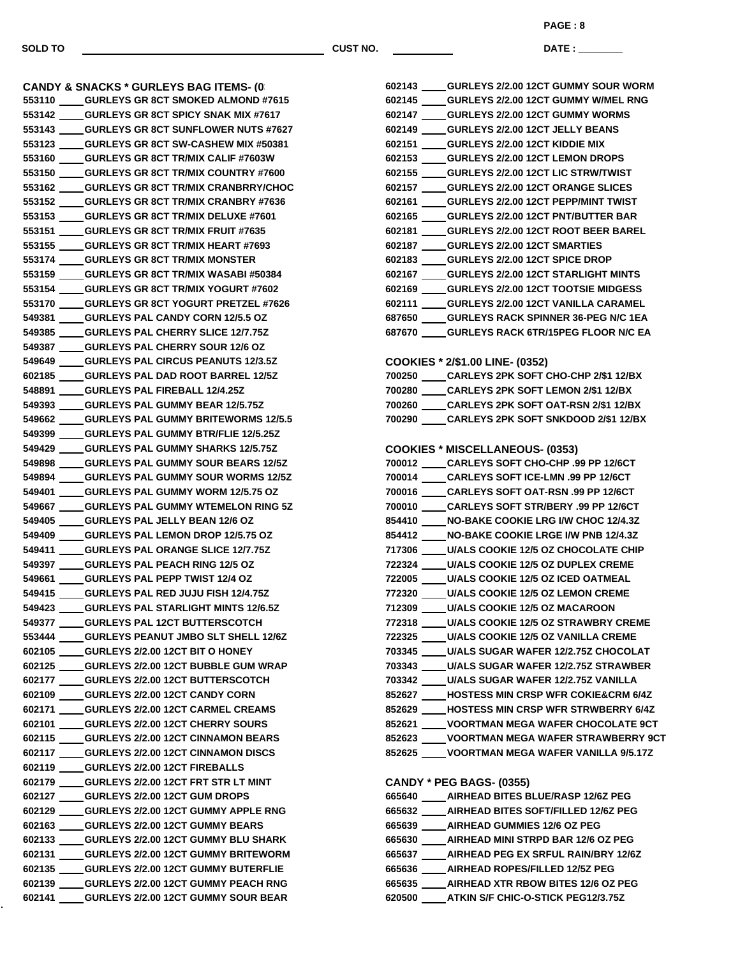ä,

**SOLD TO CUST NO.**

**PAGE : 8**

**DATE : \_\_\_\_\_\_\_\_\_\_\_\_\_\_\_**

|        | <b>CANDY &amp; SNACKS * GURLEYS BAG ITEMS- (0)</b>                                               |
|--------|--------------------------------------------------------------------------------------------------|
|        | 553110 ____GURLEYS GR 8CT SMOKED ALMOND #7615                                                    |
|        | 553142 ____GURLEYS GR 8CT SPICY SNAK MIX #7617                                                   |
|        | 553143 ____GURLEYS GR 8CT SUNFLOWER NUTS #7627                                                   |
|        | 553123 ____GURLEYS GR 8CT SW-CASHEW MIX #50381                                                   |
|        | 553160 ____GURLEYS GR 8CT TR/MIX CALIF #7603W                                                    |
|        | 553150 ____GURLEYS GR 8CT TR/MIX COUNTRY #7600                                                   |
|        | 553162 ____GURLEYS GR 8CT TR/MIX CRANBRRY/CHOC                                                   |
|        | 553152 ____GURLEYS GR 8CT TR/MIX CRANBRY #7636                                                   |
|        | 553153 ____GURLEYS GR 8CT TR/MIX DELUXE #7601                                                    |
|        | 553151 _____ GURLEYS GR 8CT TR/MIX FRUIT #7635                                                   |
|        | 553155 ____GURLEYS GR 8CT TR/MIX HEART #7693                                                     |
|        | 553174 ____GURLEYS GR 8CT TR/MIX MONSTER                                                         |
|        | 553159 ____GURLEYS GR 8CT TR/MIX WASABI #50384                                                   |
|        | 553154 ____GURLEYS GR 8CT TR/MIX YOGURT #7602                                                    |
|        | 553170 ____GURLEYS GR 8CT YOGURT PRETZEL #7626                                                   |
|        | 549381 ____ GURLEYS PAL CANDY CORN 12/5.5 OZ                                                     |
|        | 549385 _____ GURLEYS PAL CHERRY SLICE 12/7.75Z                                                   |
|        | 549387 ____GURLEYS PAL CHERRY SOUR 12/6 OZ                                                       |
|        | 549649 ____GURLEYS PAL CIRCUS PEANUTS 12/3.5Z                                                    |
|        | 602185 ____GURLEYS PAL DAD ROOT BARREL 12/5Z                                                     |
|        | 548891 _____ GURLEYS PAL FIREBALL 12/4.25Z                                                       |
|        | 549393 _____ GURLEYS PAL GUMMY BEAR 12/5.75Z                                                     |
|        | 549662 ____GURLEYS PAL GUMMY BRITEWORMS 12/5.5                                                   |
|        | 549399 _____ GURLEYS PAL GUMMY BTR/FLIE 12/5.25Z                                                 |
|        | 549429 ____GURLEYS PAL GUMMY SHARKS 12/5.75Z                                                     |
|        | 549898 ____GURLEYS PAL GUMMY SOUR BEARS 12/5Z                                                    |
|        | 549894 ____GURLEYS PAL GUMMY SOUR WORMS 12/5Z                                                    |
|        | 549401 ____GURLEYS PAL GUMMY WORM 12/5.75 OZ                                                     |
|        | 549667 _____ GURLEYS PAL GUMMY WTEMELON RING 5Z                                                  |
|        | 549405 _____ GURLEYS PAL JELLY BEAN 12/6 OZ                                                      |
|        | 549409 _____ GURLEYS PAL LEMON DROP 12/5.75 OZ                                                   |
|        | 549411 _____ GURLEYS PAL ORANGE SLICE 12/7.75Z                                                   |
|        | 549397 _____GURLEYS PAL PEACH RING 12/5 OZ                                                       |
|        | 549661 ____GURLEYS PAL PEPP TWIST 12/4 OZ                                                        |
|        | 549415 _____ GURLEYS PAL RED JUJU FISH 12/4.75Z                                                  |
|        | 549423 ____GURLEYS PAL STARLIGHT MINTS 12/6.5Z                                                   |
|        | 549377 ____GURLEYS PAL 12CT BUTTERSCOTCH                                                         |
|        | 553444 ____GURLEYS PEANUT JMBO SLT SHELL 12/6Z                                                   |
|        | 602105 _____ GURLEYS 2/2.00 12CT BIT O HONEY<br>602125 ____ GURLEYS 2/2.00 12CT BUBBLE GUM WRAP  |
|        | GURLEYS 2/2.00 12CT BUTTERSCOTCH                                                                 |
| 602177 | 602109 ____GURLEYS 2/2.00 12CT CANDY CORN                                                        |
|        |                                                                                                  |
|        | 602171 ____GURLEYS 2/2.00 12CT CARMEL CREAMS                                                     |
|        | 602101 ____GURLEYS 2/2.00 12CT CHERRY SOURS<br>602115 ____GURLEYS 2/2.00 12CT CINNAMON BEARS     |
|        | <b>CURLEYS 2/2.00 12CT CINNAMON DISCS</b>                                                        |
| 602117 | 602119 ____GURLEYS 2/2.00 12CT FIREBALLS                                                         |
|        |                                                                                                  |
|        | 602179 ____GURLEYS 2/2.00 12CT FRT STR LT MINT                                                   |
| 602127 | GURLEYS 2/2.00 12CT GUM DROPS                                                                    |
|        | 602129 ____GURLEYS 2/2.00 12CT GUMMY APPLE RNG                                                   |
|        | 602163 ____GURLEYS 2/2.00 12CT GUMMY BEARS                                                       |
|        | 602133 ____GURLEYS 2/2.00 12CT GUMMY BLU SHARK<br>602131 ____GURLEYS 2/2.00 12CT GUMMY BRITEWORM |
|        | 602135 ____ GURLEYS 2/2.00 12CT GUMMY BUTERFLIE                                                  |
|        |                                                                                                  |
|        | 602139 ____GURLEYS 2/2.00 12CT GUMMY PEACH RNG                                                   |
|        | 602141 ____GURLEYS 2/2.00 12CT GUMMY SOUR BEAR                                                   |

|  | 602143 GURLEYS 2/2.00 12CT GUMMY SOUR WORM                                                |
|--|-------------------------------------------------------------------------------------------|
|  | 602145 _____ GURLEYS 2/2.00 12CT GUMMY W/MEL RNG                                          |
|  | 602147 GURLEYS 2/2.00 12CT GUMMY WORMS                                                    |
|  | 602149 GURLEYS 2/2.00 12CT JELLY BEANS                                                    |
|  | 602151 GURLEYS 2/2.00 12CT KIDDIE MIX                                                     |
|  | 602153 GURLEYS 2/2.00 12CT LEMON DROPS                                                    |
|  | 602155 GURLEYS 2/2.00 12CT LIC STRW/TWIST                                                 |
|  | 602157 GURLEYS 2/2.00 12CT ORANGE SLICES                                                  |
|  | 602161 GURLEYS 2/2.00 12CT PEPP/MINT TWIST                                                |
|  | 602165 GURLEYS 2/2.00 12CT PNT/BUTTER BAR                                                 |
|  | 602181 GURLEYS 2/2.00 12CT ROOT BEER BAREL                                                |
|  | 602187 GURLEYS 2/2.00 12CT SMARTIES                                                       |
|  | 602183 GURLEYS 2/2.00 12CT SPICE DROP                                                     |
|  | 602167 GURLEYS 2/2.00 12CT STARLIGHT MINTS                                                |
|  | 602169 ____ GURLEYS 2/2.00 12CT TOOTSIE MIDGESS                                           |
|  | 602111 GURLEYS 2/2.00 12CT VANILLA CARAMEL                                                |
|  | 687650 GURLEYS RACK SPINNER 36-PEG N/C 1EA                                                |
|  | 687670 _____ GURLEYS RACK 6TR/15PEG FLOOR N/C EA                                          |
|  |                                                                                           |
|  |                                                                                           |
|  | COOKIES * 2/\$1.00 LINE- (0352)<br>700250 ____ CARLEYS 2PK SOFT CHO-CHP 2/\$1 12/BX       |
|  |                                                                                           |
|  | 700280 CARLEYS 2PK SOFT LEMON 2/\$1 12/BX                                                 |
|  | 700260 CARLEYS 2PK SOFT OAT-RSN 2/\$1 12/BX                                               |
|  | 700290 _____ CARLEYS 2PK SOFT SNKDOOD 2/\$1 12/BX                                         |
|  |                                                                                           |
|  | <b>COOKIES * MISCELLANEOUS- (0353)</b><br>700012 _____ CARLEYS SOFT CHO-CHP .99 PP 12/6CT |
|  |                                                                                           |
|  | 700014 _____ CARLEYS SOFT ICE-LMN .99 PP 12/6CT                                           |
|  | 700016 _____ CARLEYS SOFT OAT-RSN .99 PP 12/6CT                                           |
|  | 700010 CARLEYS SOFT STR/BERY .99 PP 12/6CT                                                |
|  | 854410 NO-BAKE COOKIE LRG I/W CHOC 12/4.3Z                                                |
|  | 854412 ____ NO-BAKE COOKIE LRGE I/W PNB 12/4.3Z                                           |
|  | 717306 ____ U/ALS COOKIE 12/5 OZ CHOCOLATE CHIP                                           |
|  | 722324 U/ALS COOKIE 12/5 OZ DUPLEX CREME                                                  |
|  | 722005 ____ U/ALS COOKIE 12/5 OZ ICED OATMEAL                                             |
|  | 772320 U/ALS COOKIE 12/5 OZ LEMON CREME                                                   |
|  | 712309 _____ U/ALS COOKIE 12/5 OZ MACAROON                                                |
|  | 772318 U/ALS COOKIE 12/5 OZ STRAWBRY CREME                                                |
|  | 722325 ____ U/ALS COOKIE 12/5 OZ VANILLA CREME                                            |
|  | 703345 ____ U/ALS SUGAR WAFER 12/2.75Z CHOCOLAT                                           |
|  | 703343 ____ U/ALS SUGAR WAFER 12/2.75Z STRAWBER                                           |
|  | 703342 _____ U/ALS SUGAR WAFER 12/2.75Z VANILLA                                           |
|  | 852627 ____ HOSTESS MIN CRSP WFR COKIE&CRM 6/4Z                                           |
|  | 852629 ____ HOSTESS MIN CRSP WFR STRWBERRY 6/4Z                                           |
|  | 852621 _____ VOORTMAN MEGA WAFER CHOCOLATE 9CT                                            |
|  | 852623 ____ VOORTMAN MEGA WAFER STRAWBERRY 9CT                                            |
|  | 852625 _____ VOORTMAN MEGA WAFER VANILLA 9/5.17Z                                          |
|  |                                                                                           |
|  | <b>CANDY * PEG BAGS- (0355)</b>                                                           |
|  | 665640 ____ AIRHEAD BITES BLUE/RASP 12/6Z PEG                                             |
|  | 665632 ____ AIRHEAD BITES SOFT/FILLED 12/6Z PEG                                           |
|  | 665639 ____ AIRHEAD GUMMIES 12/6 OZ PEG                                                   |
|  | 665630 ____ AIRHEAD MINI STRPD BAR 12/6 OZ PEG                                            |
|  | 665637 ____ AIRHEAD PEG EX SRFUL RAIN/BRY 12/6Z                                           |
|  | 665636 _____AIRHEAD ROPES/FILLED 12/5Z PEG                                                |
|  | 665635 ____ AIRHEAD XTR RBOW BITES 12/6 OZ PEG                                            |
|  |                                                                                           |

**ATKIN S/F CHIC-O-STICK PEG12/3.75Z**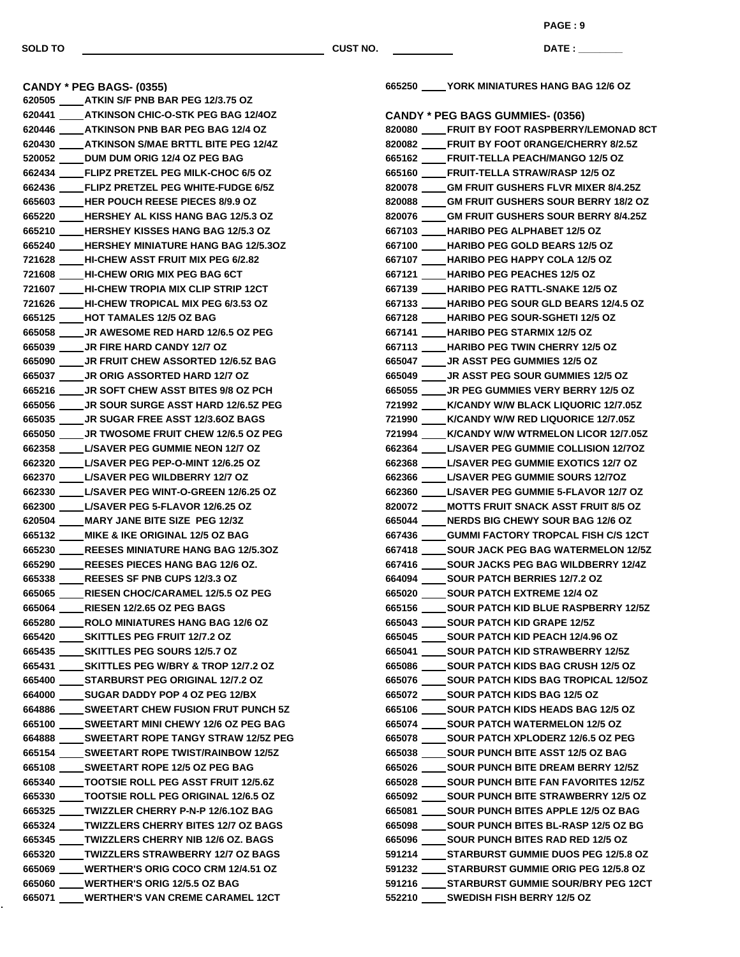**PAGE : 9**

**DATE : \_\_\_\_\_\_\_\_\_\_\_\_\_\_\_**

**CANDY \* PEG BAGS- (0355) ATKIN S/F PNB BAR PEG 12/3.75 OZ ATKINSON CHIC-O-STK PEG BAG 12/4OZ ATKINSON PNB BAR PEG BAG 12/4 OZ ATKINSON S/MAE BRTTL BITE PEG 12/4Z DUM DUM ORIG 12/4 OZ PEG BAG FLIPZ PRETZEL PEG MILK-CHOC 6/5 OZ FLIPZ PRETZEL PEG WHITE-FUDGE 6/5Z HER POUCH REESE PIECES 8/9.9 OZ HERSHEY AL KISS HANG BAG 12/5.3 OZ HERSHEY KISSES HANG BAG 12/5.3 OZ HERSHEY MINIATURE HANG BAG 12/5.3OZ HI-CHEW ASST FRUIT MIX PEG 6/2.82 HI-CHEW ORIG MIX PEG BAG 6CT HI-CHEW TROPIA MIX CLIP STRIP 12CT HI-CHEW TROPICAL MIX PEG 6/3.53 OZ HOT TAMALES 12/5 OZ BAG JR AWESOME RED HARD 12/6.5 OZ PEG JR FIRE HARD CANDY 12/7 OZ JR FRUIT CHEW ASSORTED 12/6.5Z BAG JR ORIG ASSORTED HARD 12/7 OZ JR SOFT CHEW ASST BITES 9/8 OZ PCH JR SOUR SURGE ASST HARD 12/6.5Z PEG JR SUGAR FREE ASST 12/3.6OZ BAGS JR TWOSOME FRUIT CHEW 12/6.5 OZ PEG L/SAVER PEG GUMMIE NEON 12/7 OZ L/SAVER PEG PEP-O-MINT 12/6.25 OZ L/SAVER PEG WILDBERRY 12/7 OZ L/SAVER PEG WINT-O-GREEN 12/6.25 OZ L/SAVER PEG 5-FLAVOR 12/6.25 OZ MARY JANE BITE SIZE PEG 12/3Z MIKE & IKE ORIGINAL 12/5 OZ BAG REESES MINIATURE HANG BAG 12/5.3OZ REESES PIECES HANG BAG 12/6 OZ. REESES SF PNB CUPS 12/3.3 OZ RIESEN CHOC/CARAMEL 12/5.5 OZ PEG RIESEN 12/2.65 OZ PEG BAGS ROLO MINIATURES HANG BAG 12/6 OZ SKITTLES PEG FRUIT 12/7.2 OZ SKITTLES PEG SOURS 12/5.7 OZ SKITTLES PEG W/BRY & TROP 12/7.2 OZ STARBURST PEG ORIGINAL 12/7.2 OZ SUGAR DADDY POP 4 OZ PEG 12/BX SWEETART CHEW FUSION FRUT PUNCH 5Z SWEETART MINI CHEWY 12/6 OZ PEG BAG SWEETART ROPE TANGY STRAW 12/5Z PEG SWEETART ROPE TWIST/RAINBOW 12/5Z SWEETART ROPE 12/5 OZ PEG BAG TOOTSIE ROLL PEG ASST FRUIT 12/5.6Z TOOTSIE ROLL PEG ORIGINAL 12/6.5 OZ TWIZZLER CHERRY P-N-P 12/6.1OZ BAG TWIZZLERS CHERRY BITES 12/7 OZ BAGS TWIZZLERS CHERRY NIB 12/6 OZ. BAGS TWIZZLERS STRAWBERRY 12/7 OZ BAGS WERTHER'S ORIG COCO CRM 12/4.51 OZ WERTHER'S ORIG 12/5.5 OZ BAG WERTHER'S VAN CREME CARAMEL 12CT**

**YORK MINIATURES HANG BAG 12/6 OZ**

| <b>CANDY * PEG BAGS GUMMIES- (0356)</b>                                                      |
|----------------------------------------------------------------------------------------------|
| 820080 ____FRUIT BY FOOT RASPBERRY/LEMONAD 8CT                                               |
| 820082 ____FRUIT BY FOOT 0RANGE/CHERRY 8/2.5Z                                                |
| 665162 ____FRUIT-TELLA PEACH/MANGO 12/5 OZ                                                   |
| 665160 ____FRUIT-TELLA STRAW/RASP 12/5 OZ                                                    |
| 820078 ____GM FRUIT GUSHERS FLVR MIXER 8/4.25Z                                               |
| 820088 ____GM FRUIT GUSHERS SOUR BERRY 18/2 OZ                                               |
| 820076 ____GM FRUIT GUSHERS SOUR BERRY 8/4.25Z                                               |
| 667103 ____ HARIBO PEG ALPHABET 12/5 OZ                                                      |
| 667100 ____ HARIBO PEG GOLD BEARS 12/5 OZ                                                    |
| 667107 ____ HARIBO PEG HAPPY COLA 12/5 OZ                                                    |
| 667121 ____ HARIBO PEG PEACHES 12/5 OZ                                                       |
| 667139 ____HARIBO PEG RATTL-SNAKE 12/5 OZ                                                    |
| 667133 ____HARIBO PEG SOUR GLD BEARS 12/4.5 OZ                                               |
| 667128 ____HARIBO PEG SOUR-SGHETI 12/5 OZ                                                    |
| 667141 ____HARIBO PEG STARMIX 12/5 OZ                                                        |
| 667113 ____HARIBO PEG TWIN CHERRY 12/5 OZ                                                    |
| 665047 _____ JR ASST PEG GUMMIES 12/5 OZ                                                     |
| 665049 _____ JR ASST PEG SOUR GUMMIES 12/5 OZ                                                |
| 665055 ____ JR PEG GUMMIES VERY BERRY 12/5 OZ                                                |
| 721992 ____ K/CANDY W/W BLACK LIQUORIC 12/7.05Z                                              |
| 721990 ____ K/CANDY W/W RED LIQUORICE 12/7.05Z                                               |
| 721994 ____K/CANDY W/W WTRMELON LICOR 12/7.05Z                                               |
| 662364 _____ L/SAVER PEG GUMMIE COLLISION 12/70Z                                             |
| 662368 ____ L/SAVER PEG GUMMIE EXOTICS 12/7 OZ                                               |
| 662366 _____ L/SAVER PEG GUMMIE SOURS 12/70Z                                                 |
| 662360 ____ L/SAVER PEG GUMMIE 5-FLAVOR 12/7 OZ                                              |
| 820072 ____ MOTTS FRUIT SNACK ASST FRUIT 8/5 OZ                                              |
| 665044 ____ NERDS BIG CHEWY SOUR BAG 12/6 OZ                                                 |
| 667436 ____GUMMI FACTORY TROPCAL FISH C/S 12CT                                               |
| 667418 _____ SOUR JACK PEG BAG WATERMELON 12/5Z                                              |
| 667416 _____ SOUR JACKS PEG BAG WILDBERRY 12/4Z                                              |
| 664094 _____ SOUR PATCH BERRIES 12/7.2 OZ                                                    |
| 665020 ______ SOUR PATCH EXTREME 12/4 OZ                                                     |
| 665156 _____ SOUR PATCH KID BLUE RASPBERRY 12/5Z                                             |
| 665043 ______ SOUR PATCH KID GRAPE 12/5Z                                                     |
| 665045 _____ SOUR PATCH KID PEACH 12/4.96 OZ                                                 |
|                                                                                              |
| 665041 ____SOUR PATCH KID STRAWBERRY 12/5Z<br>665086 _____ SOUR PATCH KIDS BAG CRUSH 12/5 OZ |
|                                                                                              |
| 665076 _____ SOUR PATCH KIDS BAG TROPICAL 12/5OZ                                             |
| 665072 ______ SOUR PATCH KIDS BAG 12/5 OZ                                                    |
| 665106 _____ SOUR PATCH KIDS HEADS BAG 12/5 OZ                                               |
| 665074 _____ SOUR PATCH WATERMELON 12/5 OZ                                                   |
| 665078 _____ SOUR PATCH XPLODERZ 12/6.5 OZ PEG                                               |
| 665038 _____ SOUR PUNCH BITE ASST 12/5 OZ BAG                                                |
| 665026 _____ SOUR PUNCH BITE DREAM BERRY 12/5Z                                               |
| 665028 _____ SOUR PUNCH BITE FAN FAVORITES 12/5Z                                             |
| 665092 _____ SOUR PUNCH BITE STRAWBERRY 12/5 OZ                                              |
| 665081 _____ SOUR PUNCH BITES APPLE 12/5 OZ BAG                                              |
| 665098 _____ SOUR PUNCH BITES BL-RASP 12/5 OZ BG                                             |
| 665096 _____ SOUR PUNCH BITES RAD RED 12/5 OZ                                                |
| 591214 _____ STARBURST GUMMIE DUOS PEG 12/5.8 OZ                                             |
| 591232 _____ STARBURST GUMMIE ORIG PEG 12/5.8 OZ                                             |
| 591216 _____ STARBURST GUMMIE SOUR/BRY PEG 12CT                                              |
| 552210 SWEDISH FISH BERRY 12/5 OZ                                                            |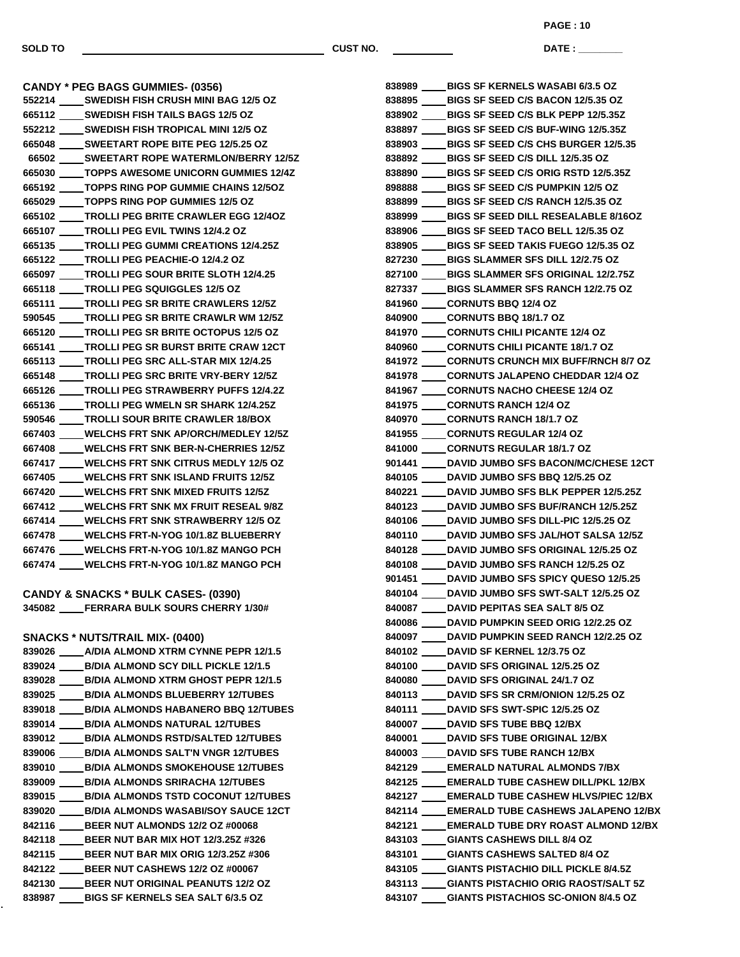**DATE : \_\_\_\_\_\_\_\_\_\_\_\_\_\_\_ PAGE : 10**

**CANDY \* PEG BAGS GUMMIES- (0356) SWEDISH FISH CRUSH MINI BAG 12/5 OZ SWEDISH FISH TAILS BAGS 12/5 OZ SWEDISH FISH TROPICAL MINI 12/5 OZ SWEETART ROPE BITE PEG 12/5.25 OZ SWEETART ROPE WATERMLON/BERRY 12/5Z TOPPS AWESOME UNICORN GUMMIES 12/4Z TOPPS RING POP GUMMIE CHAINS 12/5OZ TOPPS RING POP GUMMIES 12/5 OZ TROLLI PEG BRITE CRAWLER EGG 12/4OZ TROLLI PEG EVIL TWINS 12/4.2 OZ TROLLI PEG GUMMI CREATIONS 12/4.25Z TROLLI PEG PEACHIE-O 12/4.2 OZ TROLLI PEG SOUR BRITE SLOTH 12/4.25 TROLLI PEG SQUIGGLES 12/5 OZ TROLLI PEG SR BRITE CRAWLERS 12/5Z TROLLI PEG SR BRITE CRAWLR WM 12/5Z TROLLI PEG SR BRITE OCTOPUS 12/5 OZ TROLLI PEG SR BURST BRITE CRAW 12CT TROLLI PEG SRC ALL-STAR MIX 12/4.25 TROLLI PEG SRC BRITE VRY-BERY 12/5Z TROLLI PEG STRAWBERRY PUFFS 12/4.2Z TROLLI PEG WMELN SR SHARK 12/4.25Z TROLLI SOUR BRITE CRAWLER 18/BOX WELCHS FRT SNK AP/ORCH/MEDLEY 12/5Z WELCHS FRT SNK BER-N-CHERRIES 12/5Z WELCHS FRT SNK CITRUS MEDLY 12/5 OZ WELCHS FRT SNK ISLAND FRUITS 12/5Z WELCHS FRT SNK MIXED FRUITS 12/5Z WELCHS FRT SNK MX FRUIT RESEAL 9/8Z WELCHS FRT SNK STRAWBERRY 12/5 OZ WELCHS FRT-N-YOG 10/1.8Z BLUEBERRY WELCHS FRT-N-YOG 10/1.8Z MANGO PCH WELCHS FRT-N-YOG 10/1.8Z MANGO PCH CANDY & SNACKS \* BULK CASES- (0390) FERRARA BULK SOURS CHERRY 1/30# SNACKS \* NUTS/TRAIL MIX- (0400) A/DIA ALMOND XTRM CYNNE PEPR 12/1.5 B/DIA ALMOND SCY DILL PICKLE 12/1.5 B/DIA ALMOND XTRM GHOST PEPR 12/1.5 B/DIA ALMONDS BLUEBERRY 12/TUBES B/DIA ALMONDS HABANERO BBQ 12/TUBES B/DIA ALMONDS NATURAL 12/TUBES B/DIA ALMONDS RSTD/SALTED 12/TUBES B/DIA ALMONDS SALT'N VNGR 12/TUBES B/DIA ALMONDS SMOKEHOUSE 12/TUBES B/DIA ALMONDS SRIRACHA 12/TUBES B/DIA ALMONDS TSTD COCONUT 12/TUBES B/DIA ALMONDS WASABI/SOY SAUCE 12CT BEER NUT ALMONDS 12/2 OZ #00068 BEER NUT BAR MIX HOT 12/3.25Z #326**

 **BEER NUT BAR MIX ORIG 12/3.25Z #306 BEER NUT CASHEWS 12/2 OZ #00067 BEER NUT ORIGINAL PEANUTS 12/2 OZ BIGS SF KERNELS SEA SALT 6/3.5 OZ**

| 838989      | <b>BIGS SF KERNELS WASABI 6/3.5 OZ</b>                                                    |
|-------------|-------------------------------------------------------------------------------------------|
| 838895      | <b>BIGS SF SEED C/S BACON 12/5.35 OZ</b>                                                  |
| 838902 ____ | <b>BIGS SF SEED C/S BLK PEPP 12/5.35Z</b>                                                 |
| 838897      | <b>BIGS SF SEED C/S BUF-WING 12/5.35Z</b>                                                 |
| 838903      | <b>BIGS SF SEED C/S CHS BURGER 12/5.35</b>                                                |
| 838892      | <b>BIGS SF SEED C/S DILL 12/5.35 OZ</b>                                                   |
| 838890      | <b>BIGS SF SEED C/S ORIG RSTD 12/5.35Z</b>                                                |
| 898888      | <b>BIGS SF SEED C/S PUMPKIN 12/5 OZ</b>                                                   |
| 838899      | <b>BIGS SF SEED C/S RANCH 12/5.35 OZ</b>                                                  |
| 838999      | <b>BIGS SF SEED DILL RESEALABLE 8/16OZ</b>                                                |
| 838906 ____ | <b>BIGS SF SEED TACO BELL 12/5.35 OZ</b>                                                  |
| 838905      | <b>BIGS SF SEED TAKIS FUEGO 12/5.35 OZ</b>                                                |
| 827230      | <b>BIGS SLAMMER SFS DILL 12/2.75 OZ</b>                                                   |
|             | 827100 _____ BIGS SLAMMER SFS ORIGINAL 12/2.75Z                                           |
|             | 827337 _____ BIGS SLAMMER SFS RANCH 12/2.75 OZ                                            |
|             | 841960 _____CORNUTS BBQ 12/4 OZ                                                           |
|             | 840900 _____CORNUTS BBQ 18/1.7 OZ                                                         |
|             | 841970 _____ CORNUTS CHILI PICANTE 12/4 OZ                                                |
|             | 840960 _____ CORNUTS CHILI PICANTE 18/1.7 OZ                                              |
|             | 841972 ____CORNUTS CRUNCH MIX BUFF/RNCH 8/7 OZ                                            |
|             | 841978 _____ CORNUTS JALAPENO CHEDDAR 12/4 OZ                                             |
|             | 841967 _____CORNUTS NACHO CHEESE 12/4 OZ                                                  |
|             | 841975 _____ CORNUTS RANCH 12/4 OZ                                                        |
|             | 840970 _____ CORNUTS RANCH 18/1.7 OZ                                                      |
|             | 841955 _____ CORNUTS REGULAR 12/4 OZ                                                      |
|             | 841000 _____ CORNUTS REGULAR 18/1.7 OZ                                                    |
|             | 901441 ____ DAVID JUMBO SFS BACON/MC/CHESE 12CT                                           |
|             | 840105 _____ DAVID JUMBO SFS BBQ 12/5.25 OZ                                               |
|             | 840221 _____ DAVID JUMBO SFS BLK PEPPER 12/5.25Z                                          |
|             | 840123 ____ DAVID JUMBO SFS BUF/RANCH 12/5.25Z                                            |
|             | 840106 _____ DAVID JUMBO SFS DILL-PIC 12/5.25 OZ                                          |
|             | 840110 _____ DAVID JUMBO SFS JAL/HOT SALSA 12/5Z                                          |
|             | 840128 _____ DAVID JUMBO SFS ORIGINAL 12/5.25 OZ                                          |
|             | 840108 _____ DAVID JUMBO SFS RANCH 12/5.25 OZ                                             |
|             | 901451 DAVID JUMBO SFS SPICY QUESO 12/5.25                                                |
|             | 840104 _____DAVID JUMBO SFS SWT-SALT 12/5.25 OZ                                           |
| 840087      | <b>DAVID PEPITAS SEA SALT 8/5 OZ</b>                                                      |
|             | 840086 ____ DAVID PUMPKIN SEED ORIG 12/2.25 OZ                                            |
|             | 840097 ____ DAVID PUMPKIN SEED RANCH 12/2.25 OZ                                           |
|             | 840102 _____ DAVID SF KERNEL 12/3.75 OZ                                                   |
|             | 840100 ____ DAVID SFS ORIGINAL 12/5.25 OZ                                                 |
|             | 840080 ____ DAVID SFS ORIGINAL 24/1.7 OZ<br>840113 ____ DAVID SFS SR CRM/ONION 12/5.25 OZ |
|             |                                                                                           |
|             | 840111 ____ DAVID SFS SWT-SPIC 12/5.25 OZ                                                 |
|             | 840007 _____ DAVID SFS TUBE BBQ 12/BX<br>840001 _____ DAVID SFS TUBE ORIGINAL 12/BX       |
|             |                                                                                           |
|             | 840003 ____ DAVID SFS TUBE RANCH 12/BX<br>842129 _____EMERALD NATURAL ALMONDS 7/BX        |
|             | 842125 ____ EMERALD TUBE CASHEW DILL/PKL 12/BX                                            |
|             | 842127 ____ EMERALD TUBE CASHEW HLVS/PIEC 12/BX                                           |
|             | 842114 ____ EMERALD TUBE CASHEWS JALAPENO 12/BX                                           |
|             | 842121 _____EMERALD TUBE DRY ROAST ALMOND 12/BX                                           |
|             | 843103 ____ GIANTS CASHEWS DILL 8/4 OZ                                                    |
|             | 843101 ____GIANTS CASHEWS SALTED 8/4 OZ                                                   |
|             | 843105 ____ GIANTS PISTACHIO DILL PICKLE 8/4.5Z                                           |
|             | 843113 ____GIANTS PISTACHIO ORIG RAOST/SALT 5Z                                            |
|             | 843107 ____ GIANTS PISTACHIOS SC-ONION 8/4.5 OZ                                           |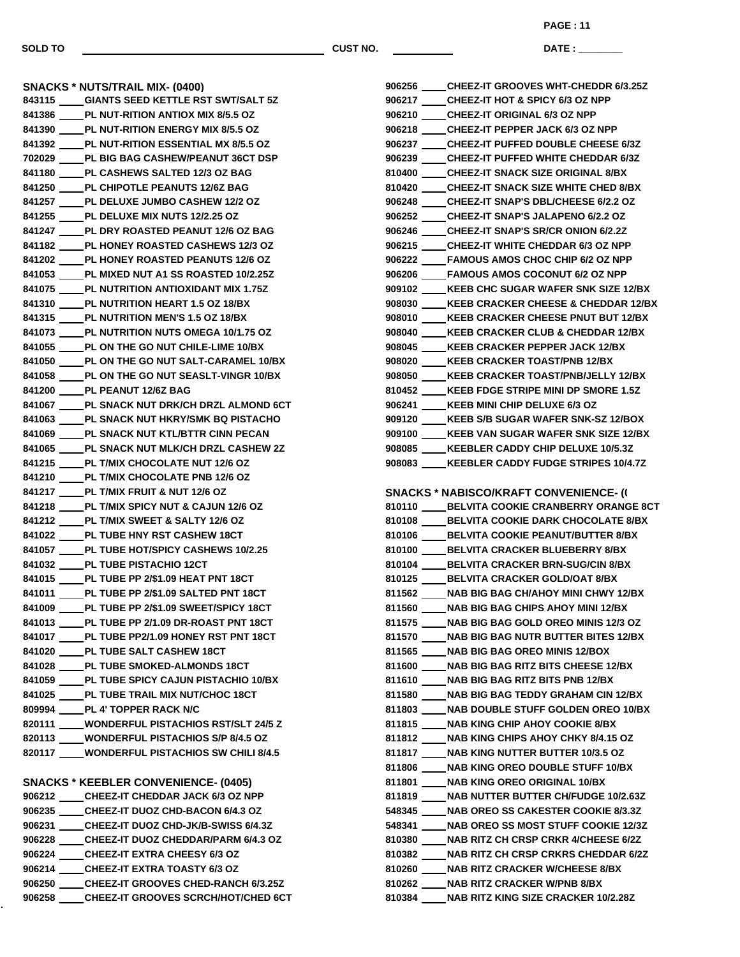**PAGE : 11**

**DATE : \_\_\_\_\_\_\_\_\_\_\_\_\_\_\_**

**SNACKS \* NUTS/TRAIL MIX- (0400) GIANTS SEED KETTLE RST SWT/SALT 5Z PL NUT-RITION ANTIOX MIX 8/5.5 OZ PL NUT-RITION ENERGY MIX 8/5.5 OZ PL NUT-RITION ESSENTIAL MX 8/5.5 OZ PL BIG BAG CASHEW/PEANUT 36CT DSP PL CASHEWS SALTED 12/3 OZ BAG PL CHIPOTLE PEANUTS 12/6Z BAG PL DELUXE JUMBO CASHEW 12/2 OZ PL DELUXE MIX NUTS 12/2.25 OZ PL DRY ROASTED PEANUT 12/6 OZ BAG PL HONEY ROASTED CASHEWS 12/3 OZ PL HONEY ROASTED PEANUTS 12/6 OZ PL MIXED NUT A1 SS ROASTED 10/2.25Z PL NUTRITION ANTIOXIDANT MIX 1.75Z PL NUTRITION HEART 1.5 OZ 18/BX PL NUTRITION MEN'S 1.5 OZ 18/BX PL NUTRITION NUTS OMEGA 10/1.75 OZ PL ON THE GO NUT CHILE-LIME 10/BX PL ON THE GO NUT SALT-CARAMEL 10/BX PL ON THE GO NUT SEASLT-VINGR 10/BX PL PEANUT 12/6Z BAG PL SNACK NUT DRK/CH DRZL ALMOND 6CT PL SNACK NUT HKRY/SMK BQ PISTACHO PL SNACK NUT KTL/BTTR CINN PECAN PL SNACK NUT MLK/CH DRZL CASHEW 2Z PL T/MIX CHOCOLATE NUT 12/6 OZ PL T/MIX CHOCOLATE PNB 12/6 OZ PL T/MIX FRUIT & NUT 12/6 OZ PL T/MIX SPICY NUT & CAJUN 12/6 OZ PL T/MIX SWEET & SALTY 12/6 OZ PL TUBE HNY RST CASHEW 18CT PL TUBE HOT/SPICY CASHEWS 10/2.25 PL TUBE PISTACHIO 12CT PL TUBE PP 2/\$1.09 HEAT PNT 18CT PL TUBE PP 2/\$1.09 SALTED PNT 18CT PL TUBE PP 2/\$1.09 SWEET/SPICY 18CT PL TUBE PP 2/1.09 DR-ROAST PNT 18CT PL TUBE PP2/1.09 HONEY RST PNT 18CT PL TUBE SALT CASHEW 18CT PL TUBE SMOKED-ALMONDS 18CT PL TUBE SPICY CAJUN PISTACHIO 10/BX PL TUBE TRAIL MIX NUT/CHOC 18CT PL 4' TOPPER RACK N/C WONDERFUL PISTACHIOS RST/SLT 24/5 Z WONDERFUL PISTACHIOS S/P 8/4.5 OZ WONDERFUL PISTACHIOS SW CHILI 8/4.5 SNACKS \* KEEBLER CONVENIENCE- (0405) CHEEZ-IT CHEDDAR JACK 6/3 OZ NPP CHEEZ-IT DUOZ CHD-BACON 6/4.3 OZ CHEEZ-IT DUOZ CHD-JK/B-SWISS 6/4.3Z CHEEZ-IT DUOZ CHEDDAR/PARM 6/4.3 OZ CHEEZ-IT EXTRA CHEESY 6/3 OZ CHEEZ-IT EXTRA TOASTY 6/3 OZ CHEEZ-IT GROOVES CHED-RANCH 6/3.25Z CHEEZ-IT GROOVES SCRCH/HOT/CHED 6CT**

| 906256 ____CHEEZ-IT GROOVES WHT-CHEDDR 6/3.25Z                                                   |
|--------------------------------------------------------------------------------------------------|
| 906217 ____CHEEZ-IT HOT & SPICY 6/3 OZ NPP                                                       |
| 906210 ____CHEEZ-IT ORIGINAL 6/3 OZ NPP                                                          |
| 906218 CHEEZ-IT PEPPER JACK 6/3 OZ NPP                                                           |
| 906237 _____ CHEEZ-IT PUFFED DOUBLE CHEESE 6/3Z                                                  |
| 906239 ____CHEEZ-IT PUFFED WHITE CHEDDAR 6/3Z                                                    |
| 810400 _____ CHEEZ-IT SNACK SIZE ORIGINAL 8/BX                                                   |
| 810420 ____CHEEZ-IT SNACK SIZE WHITE CHED 8/BX                                                   |
| 906248 ____CHEEZ-IT SNAP'S DBL/CHEESE 6/2.2 OZ                                                   |
| 906252 ____ CHEEZ-IT SNAP'S JALAPENO 6/2.2 OZ                                                    |
| 906246 ____CHEEZ-IT SNAP'S SR/CR ONION 6/2.2Z                                                    |
| 906215 ____CHEEZ-IT WHITE CHEDDAR 6/3 OZ NPP                                                     |
| 906222 ____FAMOUS AMOS CHOC CHIP 6/2 OZ NPP                                                      |
| 906206 ____FAMOUS AMOS COCONUT 6/2 OZ NPP                                                        |
| 909102 ____ KEEB CHC SUGAR WAFER SNK SIZE 12/BX                                                  |
| 908030 ____ KEEB CRACKER CHEESE & CHEDDAR 12/BX                                                  |
| 908010 ____ KEEB CRACKER CHEESE PNUT BUT 12/BX                                                   |
| 908040 ____ KEEB CRACKER CLUB & CHEDDAR 12/BX                                                    |
| 908045 ____ KEEB CRACKER PEPPER JACK 12/BX                                                       |
| 908020 ____ KEEB CRACKER TOAST/PNB 12/BX                                                         |
| 908050 ____ KEEB CRACKER TOAST/PNB/JELLY 12/BX                                                   |
| 810452 ____ KEEB FDGE STRIPE MINI DP SMORE 1.5Z                                                  |
|                                                                                                  |
| 906241 ____ KEEB MINI CHIP DELUXE 6/3 OZ                                                         |
| 909120 ____ KEEB S/B SUGAR WAFER SNK-SZ 12/BOX                                                   |
| 909100 ____ KEEB VAN SUGAR WAFER SNK SIZE 12/BX<br>908085 ____ KEEBLER CADDY CHIP DELUXE 10/5.3Z |
|                                                                                                  |
| 908083 ____ KEEBLER CADDY FUDGE STRIPES 10/4.7Z                                                  |
|                                                                                                  |
|                                                                                                  |
| <b>SNACKS * NABISCO/KRAFT CONVENIENCE- (1)</b>                                                   |
| 810110 _____ BELVITA COOKIE CRANBERRY ORANGE 8CT                                                 |
| 810108 ____ BELVITA COOKIE DARK CHOCOLATE 8/BX                                                   |
| 810106 _____ BELVITA COOKIE PEANUT/BUTTER 8/BX                                                   |
| 810100 _____ BELVITA CRACKER BLUEBERRY 8/BX                                                      |
| 810104 _____ BELVITA CRACKER BRN-SUG/CIN 8/BX                                                    |
| 810125 _____ BELVITA CRACKER GOLD/OAT 8/BX                                                       |
| 811562 _____ NAB BIG BAG CH/AHOY MINI CHWY 12/BX                                                 |
| 811560 ____ NAB BIG BAG CHIPS AHOY MINI 12/BX                                                    |
| 811575 _____ NAB BIG BAG GOLD OREO MINIS 12/3 OZ                                                 |
| 811570 ____ NAB BIG BAG NUTR BUTTER BITES 12/BX                                                  |
| 811565 _____ NAB BIG BAG OREO MINIS 12/BOX                                                       |
| 811600 ____ NAB BIG BAG RITZ BITS CHEESE 12/BX                                                   |
| 811610 ____ NAB BIG BAG RITZ BITS PNB 12/BX                                                      |
| 811580 _____ NAB BIG BAG TEDDY GRAHAM CIN 12/BX                                                  |
| 811803 ____ NAB DOUBLE STUFF GOLDEN OREO 10/BX                                                   |
| 811815 _____ NAB KING CHIP AHOY COOKIE 8/BX                                                      |
| 811812 _____ NAB KING CHIPS AHOY CHKY 8/4.15 OZ                                                  |
| 811817 _____ NAB KING NUTTER BUTTER 10/3.5 OZ                                                    |
| 811806 _____ NAB KING OREO DOUBLE STUFF 10/BX                                                    |
| 811801 _____ NAB KING OREO ORIGINAL 10/BX                                                        |
| 811819 ____ NAB NUTTER BUTTER CH/FUDGE 10/2.63Z                                                  |
| 548345 _____ NAB OREO SS CAKESTER COOKIE 8/3.3Z                                                  |
| 548341 ____ NAB OREO SS MOST STUFF COOKIE 12/3Z                                                  |
| 810380 ____ NAB RITZ CH CRSP CRKR 4/CHEESE 6/2Z                                                  |
| 810382 ____ NAB RITZ CH CRSP CRKRS CHEDDAR 6/2Z                                                  |
| 810260 ____ NAB RITZ CRACKER W/CHEESE 8/BX                                                       |
| 810262 ____ NAB RITZ CRACKER W/PNB 8/BX                                                          |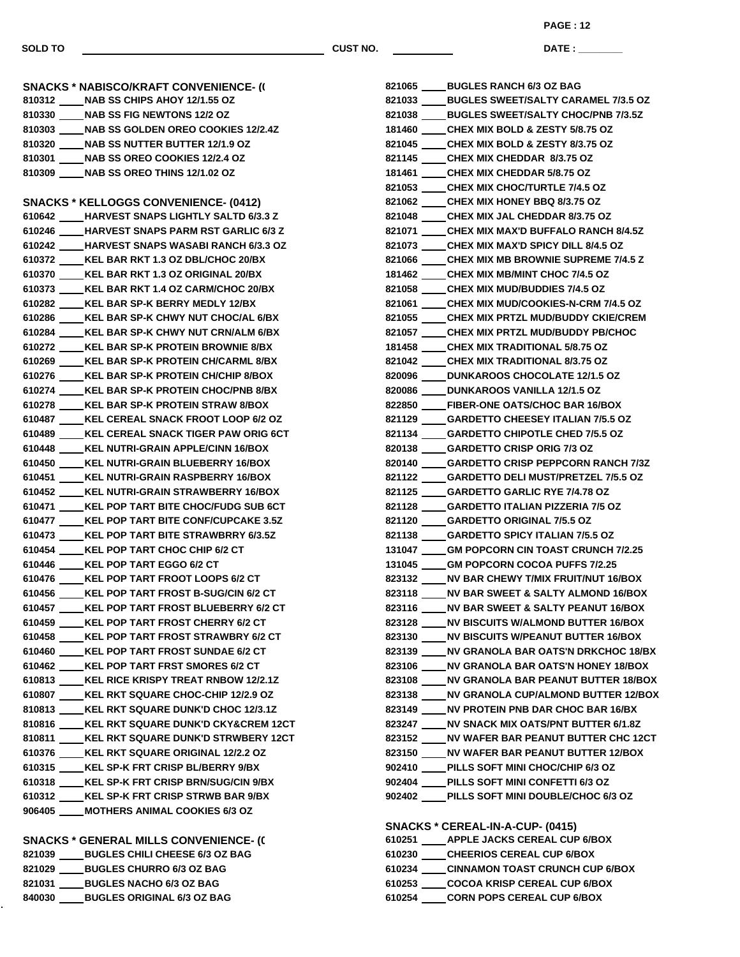**PAGE : 12**

**DATE : \_\_\_\_\_\_\_\_\_\_\_\_\_\_\_**

**SNACKS \* NABISCO/KRAFT CONVENIENCE- (1) NAB SS CHIPS AHOY 12/1.55 OZ NAB SS FIG NEWTONS 12/2 OZ NAB SS GOLDEN OREO COOKIES 12/2.4Z NAB SS NUTTER BUTTER 12/1.9 OZ NAB SS OREO COOKIES 12/2.4 OZ NAB SS OREO THINS 12/1.02 OZ SNACKS \* KELLOGGS CONVENIENCE- (0412) HARVEST SNAPS LIGHTLY SALTD 6/3.3 Z HARVEST SNAPS PARM RST GARLIC 6/3 Z HARVEST SNAPS WASABI RANCH 6/3.3 OZ KEL BAR RKT 1.3 OZ DBL/CHOC 20/BX KEL BAR RKT 1.3 OZ ORIGINAL 20/BX KEL BAR RKT 1.4 OZ CARM/CHOC 20/BX KEL BAR SP-K BERRY MEDLY 12/BX KEL BAR SP-K CHWY NUT CHOC/AL 6/BX KEL BAR SP-K CHWY NUT CRN/ALM 6/BX KEL BAR SP-K PROTEIN BROWNIE 8/BX KEL BAR SP-K PROTEIN CH/CARML 8/BX KEL BAR SP-K PROTEIN CH/CHIP 8/BOX KEL BAR SP-K PROTEIN CHOC/PNB 8/BX KEL BAR SP-K PROTEIN STRAW 8/BOX KEL CEREAL SNACK FROOT LOOP 6/2 OZ KEL CEREAL SNACK TIGER PAW ORIG 6CT KEL NUTRI-GRAIN APPLE/CINN 16/BOX KEL NUTRI-GRAIN BLUEBERRY 16/BOX KEL NUTRI-GRAIN RASPBERRY 16/BOX KEL NUTRI-GRAIN STRAWBERRY 16/BOX KEL POP TART BITE CHOC/FUDG SUB 6CT KEL POP TART BITE CONF/CUPCAKE 3.5Z KEL POP TART BITE STRAWBRRY 6/3.5Z KEL POP TART CHOC CHIP 6/2 CT KEL POP TART EGGO 6/2 CT KEL POP TART FROOT LOOPS 6/2 CT KEL POP TART FROST B-SUG/CIN 6/2 CT KEL POP TART FROST BLUEBERRY 6/2 CT KEL POP TART FROST CHERRY 6/2 CT KEL POP TART FROST STRAWBRY 6/2 CT KEL POP TART FROST SUNDAE 6/2 CT KEL POP TART FRST SMORES 6/2 CT KEL RICE KRISPY TREAT RNBOW 12/2.1Z KEL RKT SQUARE CHOC-CHIP 12/2.9 OZ KEL RKT SQUARE DUNK'D CHOC 12/3.1Z KEL RKT SQUARE DUNK'D CKY&CREM 12CT KEL RKT SQUARE DUNK'D STRWBERY 12CT KEL RKT SQUARE ORIGINAL 12/2.2 OZ KEL SP-K FRT CRISP BL/BERRY 9/BX KEL SP-K FRT CRISP BRN/SUG/CIN 9/BX KEL SP-K FRT CRISP STRWB BAR 9/BX MOTHERS ANIMAL COOKIES 6/3 OZ SNACKS \* GENERAL MILLS CONVENIENCE- (0 BUGLES CHILI CHEESE 6/3 OZ BAG BUGLES CHURRO 6/3 OZ BAG BUGLES NACHO 6/3 OZ BAG**

**BUGLES ORIGINAL 6/3 OZ BAG**

| 821065 ____ BUGLES RANCH 6/3 OZ BAG              |
|--------------------------------------------------|
| 821033 _____ BUGLES SWEET/SALTY CARAMEL 7/3.5 OZ |
| 821038 _____ BUGLES SWEET/SALTY CHOC/PNB 7/3.5Z  |
| 181460 _____ CHEX MIX BOLD & ZESTY 5/8.75 OZ     |
| 821045 _____ CHEX MIX BOLD & ZESTY 8/3.75 OZ     |
| 821145 _____ CHEX MIX CHEDDAR 8/3.75 OZ          |
| 181461 ____CHEX MIX CHEDDAR 5/8.75 OZ            |
| 821053 _____ CHEX MIX CHOC/TURTLE 7/4.5 OZ       |
| 821062 _____ CHEX MIX HONEY BBQ 8/3.75 OZ        |
| 821048 _____ CHEX MIX JAL CHEDDAR 8/3.75 OZ      |
| 821071 _____ CHEX MIX MAX'D BUFFALO RANCH 8/4.5Z |
| 821073 _____ CHEX MIX MAX'D SPICY DILL 8/4.5 OZ  |
| 821066 ____CHEX MIX MB BROWNIE SUPREME 7/4.5 Z   |
| 181462 _____CHEX MIX MB/MINT CHOC 7/4.5 OZ       |
| 821058 _____ CHEX MIX MUD/BUDDIES 7/4.5 OZ       |
| 821061 ____CHEX MIX MUD/COOKIES-N-CRM 7/4.5 OZ   |
| 821055 _____ CHEX MIX PRTZL MUD/BUDDY CKIE/CREM  |
| 821057 _____ CHEX MIX PRTZL MUD/BUDDY PB/CHOC    |
| 181458 _____ CHEX MIX TRADITIONAL 5/8.75 OZ      |
| 821042 _____ CHEX MIX TRADITIONAL 8/3.75 OZ      |
| 820096 _____ DUNKAROOS CHOCOLATE 12/1.5 OZ       |
| 820086 _____ DUNKAROOS VANILLA 12/1.5 OZ         |
| 822850 ____FIBER-ONE OATS/CHOC BAR 16/BOX        |
| 821129 _____ GARDETTO CHEESEY ITALIAN 7/5.5 OZ   |
| 821134 _____ GARDETTO CHIPOTLE CHED 7/5.5 OZ     |
| 820138 ____GARDETTO CRISP ORIG 7/3 OZ            |
| 820140 ____GARDETTO CRISP PEPPCORN RANCH 7/3Z    |
| 821122 _____ GARDETTO DELI MUST/PRETZEL 7/5.5 OZ |
| 821125 _____ GARDETTO GARLIC RYE 7/4.78 OZ       |
| 821128 _____ GARDETTO ITALIAN PIZZERIA 7/5 OZ    |
| 821120 _____ GARDETTO ORIGINAL 7/5.5 OZ          |
| 821138 _____ GARDETTO SPICY ITALIAN 7/5.5 OZ     |
| 131047 ____GM POPCORN CIN TOAST CRUNCH 7/2.25    |
| 131045 ____GM POPCORN COCOA PUFFS 7/2.25         |
| 823132 _____ NV BAR CHEWY T/MIX FRUIT/NUT 16/BOX |
| 823118 _____ NV BAR SWEET & SALTY ALMOND 16/BOX  |
| 823116 ____ NV BAR SWEET & SALTY PEANUT 16/BOX   |
| 823128 _____ NV BISCUITS W/ALMOND BUTTER 16/BOX  |
| 823130 ____ NV BISCUITS W/PEANUT BUTTER 16/BOX   |
| 823139 ____ NV GRANOLA BAR OATS'N DRKCHOC 18/BX  |
| 823106 ____ NV GRANOLA BAR OATS'N HONEY 18/BOX   |
| 823108 ____ NV GRANOLA BAR PEANUT BUTTER 18/BOX  |
| 823138 ____ NV GRANOLA CUP/ALMOND BUTTER 12/BOX  |
| 823149 _____ NV PROTEIN PNB DAR CHOC BAR 16/BX   |
| 823247 _____ NV SNACK MIX OATS/PNT BUTTER 6/1.8Z |
| 823152 ____ NV WAFER BAR PEANUT BUTTER CHC 12CT  |
| 823150 ____ NV WAFER BAR PEANUT BUTTER 12/BOX    |
| 902410 ____PILLS SOFT MINI CHOC/CHIP 6/3 OZ      |
| 902404 ____ PILLS SOFT MINI CONFETTI 6/3 OZ      |
| 902402 ____ PILLS SOFT MINI DOUBLE/CHOC 6/3 OZ   |
|                                                  |
| SNACKS * CEREAL-IN-A-CUP- (0415)                 |
| 610251 _____ APPLE JACKS CEREAL CUP 6/BOX        |
| 610230 _____ CHEERIOS CEREAL CUP 6/BOX           |
| 610234 ____CINNAMON TOAST CRUNCH CUP 6/BOX       |

 **COCOA KRISP CEREAL CUP 6/BOX CORN POPS CEREAL CUP 6/BOX**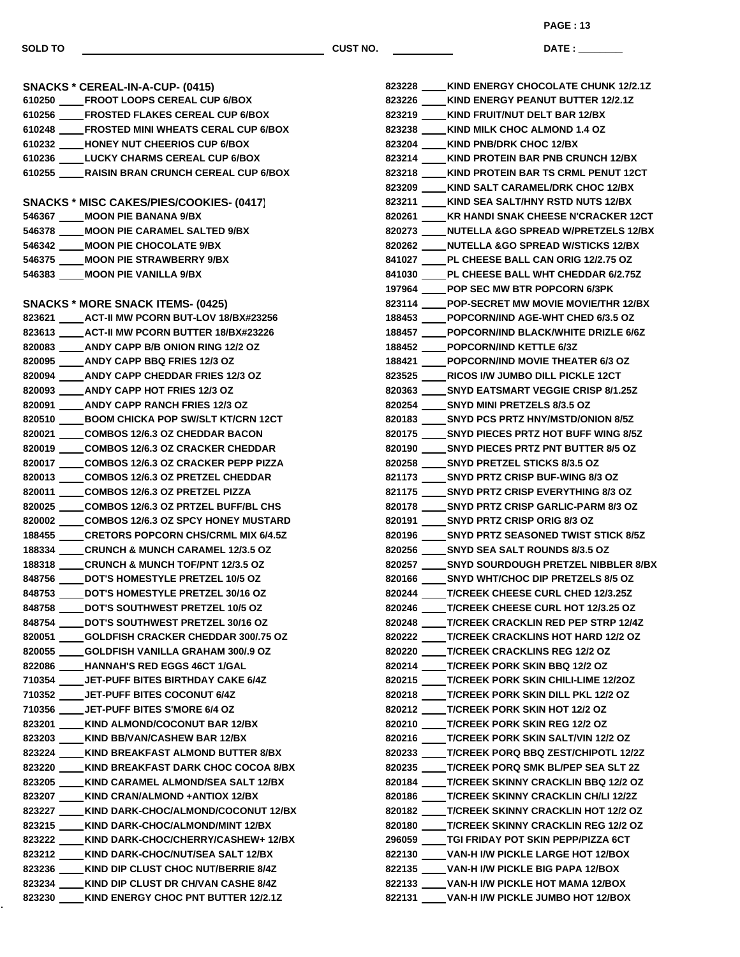**PAGE : 13**

**DATE : \_\_\_\_\_\_\_\_\_\_\_\_\_\_\_**

**SNACKS \* CEREAL-IN-A-CUP- (0415) FROOT LOOPS CEREAL CUP 6/BOX FROSTED FLAKES CEREAL CUP 6/BOX FROSTED MINI WHEATS CERAL CUP 6/BOX HONEY NUT CHEERIOS CUP 6/BOX LUCKY CHARMS CEREAL CUP 6/BOX RAISIN BRAN CRUNCH CEREAL CUP 6/BOX SNACKS \* MISC CAKES/PIES/COOKIES- (0417) MOON PIE BANANA 9/BX MOON PIE CARAMEL SALTED 9/BX MOON PIE CHOCOLATE 9/BX MOON PIE STRAWBERRY 9/BX MOON PIE VANILLA 9/BX SNACKS \* MORE SNACK ITEMS- (0425) ACT-II MW PCORN BUT-LOV 18/BX#23256 ACT-II MW PCORN BUTTER 18/BX#23226 ANDY CAPP B/B ONION RING 12/2 OZ ANDY CAPP BBQ FRIES 12/3 OZ ANDY CAPP CHEDDAR FRIES 12/3 OZ ANDY CAPP HOT FRIES 12/3 OZ ANDY CAPP RANCH FRIES 12/3 OZ BOOM CHICKA POP SW/SLT KT/CRN 12CT COMBOS 12/6.3 OZ CHEDDAR BACON COMBOS 12/6.3 OZ CRACKER CHEDDAR COMBOS 12/6.3 OZ CRACKER PEPP PIZZA COMBOS 12/6.3 OZ PRETZEL CHEDDAR COMBOS 12/6.3 OZ PRETZEL PIZZA COMBOS 12/6.3 OZ PRTZEL BUFF/BL CHS COMBOS 12/6.3 OZ SPCY HONEY MUSTARD CRETORS POPCORN CHS/CRML MIX 6/4.5Z CRUNCH & MUNCH CARAMEL 12/3.5 OZ CRUNCH & MUNCH TOF/PNT 12/3.5 OZ DOT'S HOMESTYLE PRETZEL 10/5 OZ DOT'S HOMESTYLE PRETZEL 30/16 OZ DOT'S SOUTHWEST PRETZEL 10/5 OZ DOT'S SOUTHWEST PRETZEL 30/16 OZ GOLDFISH CRACKER CHEDDAR 300/.75 OZ GOLDFISH VANILLA GRAHAM 300/.9 OZ HANNAH'S RED EGGS 46CT 1/GAL JET-PUFF BITES BIRTHDAY CAKE 6/4Z JET-PUFF BITES COCONUT 6/4Z JET-PUFF BITES S'MORE 6/4 OZ KIND ALMOND/COCONUT BAR 12/BX KIND BB/VAN/CASHEW BAR 12/BX KIND BREAKFAST ALMOND BUTTER 8/BX KIND BREAKFAST DARK CHOC COCOA 8/BX KIND CARAMEL ALMOND/SEA SALT 12/BX KIND CRAN/ALMOND +ANTIOX 12/BX KIND DARK-CHOC/ALMOND/COCONUT 12/BX KIND DARK-CHOC/ALMOND/MINT 12/BX KIND DARK-CHOC/CHERRY/CASHEW+ 12/BX KIND DARK-CHOC/NUT/SEA SALT 12/BX KIND DIP CLUST CHOC NUT/BERRIE 8/4Z KIND DIP CLUST DR CH/VAN CASHE 8/4Z KIND ENERGY CHOC PNT BUTTER 12/2.1Z**

| 823228 ____ KIND ENERGY CHOCOLATE CHUNK 12/2.1Z  |
|--------------------------------------------------|
| 823226 ____ KIND ENERGY PEANUT BUTTER 12/2.1Z    |
| 823219 ____ KIND FRUIT/NUT DELT BAR 12/BX        |
| 823238 ____KIND MILK CHOC ALMOND 1.4 OZ          |
| 823204 ____KIND PNB/DRK CHOC 12/BX               |
| 823214 ____KIND PROTEIN BAR PNB CRUNCH 12/BX     |
| 823218 ____ KIND PROTEIN BAR TS CRML PENUT 12CT  |
| 823209 ____ KIND SALT CARAMEL/DRK CHOC 12/BX     |
| 823211 ____ KIND SEA SALT/HNY RSTD NUTS 12/BX    |
| 820261 ____ KR HANDI SNAK CHEESE N'CRACKER 12CT  |
| 820273 ____ NUTELLA &GO SPREAD W/PRETZELS 12/BX  |
| 820262 ____ NUTELLA &GO SPREAD W/STICKS 12/BX    |
| 841027 _____ PL CHEESE BALL CAN ORIG 12/2.75 OZ  |
| 841030 _____ PL CHEESE BALL WHT CHEDDAR 6/2.75Z  |
| 197964 ____POP SEC MW BTR POPCORN 6/3PK          |
| 823114 ____POP-SECRET MW MOVIE MOVIE/THR 12/BX   |
| 188453 ____ POPCORN/IND AGE-WHT CHED 6/3.5 OZ    |
| 188457 ____POPCORN/IND BLACK/WHITE DRIZLE 6/6Z   |
| 188452 _____ POPCORN/IND KETTLE 6/3Z             |
| 188421 _____ POPCORN/IND MOVIE THEATER 6/3 OZ    |
| 823525 ____RICOS I/W JUMBO DILL PICKLE 12CT      |
| 820363 _____ SNYD EATSMART VEGGIE CRISP 8/1.25Z  |
| 820254 _____ SNYD MINI PRETZELS 8/3.5 OZ         |
| 820183 _____ SNYD PCS PRTZ HNY/MSTD/ONION 8/5Z   |
| 820175 _____ SNYD PIECES PRTZ HOT BUFF WING 8/5Z |
| 820190 _____ SNYD PIECES PRTZ PNT BUTTER 8/5 OZ  |
| 820258 _____ SNYD PRETZEL STICKS 8/3.5 OZ        |
| 821173 _____ SNYD PRTZ CRISP BUF-WING 8/3 OZ     |
| 821175 _____ SNYD PRTZ CRISP EVERYTHING 8/3 OZ   |
| 820178 ____ SNYD PRTZ CRISP GARLIC-PARM 8/3 OZ   |
| 820191 _____ SNYD PRTZ CRISP ORIG 8/3 OZ         |
| 820196 _____ SNYD PRTZ SEASONED TWIST STICK 8/5Z |
| 820256 _____ SNYD SEA SALT ROUNDS 8/3.5 OZ       |
| 820257 _____ SNYD SOURDOUGH PRETZEL NIBBLER 8/BX |
| 820166 _____ SNYD WHT/CHOC DIP PRETZELS 8/5 OZ   |
| 820244 ____T/CREEK CHEESE CURL CHED 12/3.25Z     |
| 820246 ____T/CREEK CHEESE CURL HOT 12/3.25 OZ    |
| 820248 ____T/CREEK CRACKLIN RED PEP STRP 12/4Z   |
| 820222 ____ T/CREEK CRACKLINS HOT HARD 12/2 OZ   |
| 820220 ____T/CREEK CRACKLINS REG 12/2 OZ         |
| 820214 ____T/CREEK PORK SKIN BBQ 12/2 OZ         |
| 820215 ____T/CREEK PORK SKIN CHILI-LIME 12/2OZ   |
| 820218 ____T/CREEK PORK SKIN DILL PKL 12/2 OZ    |
| 820212 ____T/CREEK PORK SKIN HOT 12/2 OZ         |
| 820210 ____T/CREEK PORK SKIN REG 12/2 OZ         |
| 820216 ____T/CREEK PORK SKIN SALT/VIN 12/2 OZ    |
| 820233 ____T/CREEK PORQ BBQ ZEST/CHIPOTL 12/2Z   |
| 820235 ____T/CREEK PORQ SMK BL/PEP SEA SLT 2Z    |
| 820184 ____T/CREEK SKINNY CRACKLIN BBQ 12/2 OZ   |
| 820186 ____T/CREEK SKINNY CRACKLIN CH/LI 12/2Z   |
| 820182 ____ T/CREEK SKINNY CRACKLIN HOT 12/2 OZ  |
| 820180 ____T/CREEK SKINNY CRACKLIN REG 12/2 OZ   |
| 296059 ____TGI FRIDAY POT SKIN PEPP/PIZZA 6CT    |
| 822130 ____ VAN-H I/W PICKLE LARGE HOT 12/BOX    |
| 822135 ____ VAN-H I/W PICKLE BIG PAPA 12/BOX     |
| 822133 ____ VAN-H I/W PICKLE HOT MAMA 12/BOX     |
| 822131 ____VAN-H I/W PICKLE JUMBO HOT 12/BOX     |
|                                                  |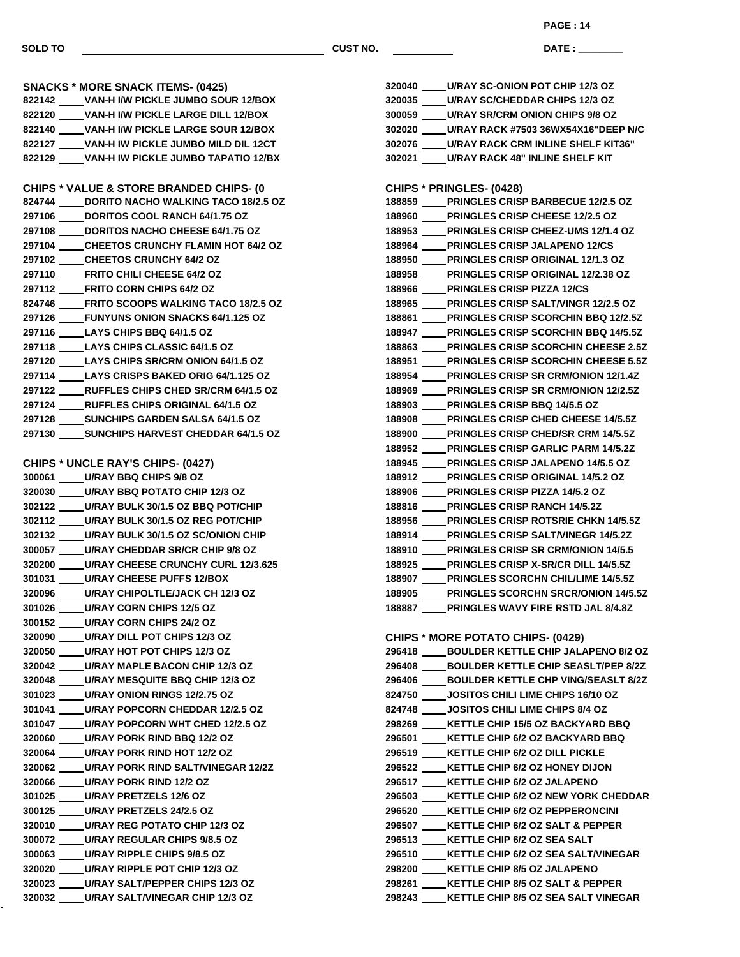**DATE : \_\_\_\_\_\_\_\_\_\_\_\_\_\_\_ PAGE : 14**

**SNACKS \* MORE SNACK ITEMS- (0425) VAN-H I/W PICKLE JUMBO SOUR 12/BOX VAN-H I/W PICKLE LARGE DILL 12/BOX VAN-H I/W PICKLE LARGE SOUR 12/BOX VAN-H IW PICKLE JUMBO MILD DIL 12CT VAN-H IW PICKLE JUMBO TAPATIO 12/BX CHIPS \* VALUE & STORE BRANDED CHIPS- (0) DORITO NACHO WALKING TACO 18/2.5 OZ DORITOS COOL RANCH 64/1.75 OZ DORITOS NACHO CHEESE 64/1.75 OZ CHEETOS CRUNCHY FLAMIN HOT 64/2 OZ CHEETOS CRUNCHY 64/2 OZ FRITO CHILI CHEESE 64/2 OZ FRITO CORN CHIPS 64/2 OZ FRITO SCOOPS WALKING TACO 18/2.5 OZ FUNYUNS ONION SNACKS 64/1.125 OZ LAYS CHIPS BBQ 64/1.5 OZ LAYS CHIPS CLASSIC 64/1.5 OZ LAYS CHIPS SR/CRM ONION 64/1.5 OZ LAYS CRISPS BAKED ORIG 64/1.125 OZ RUFFLES CHIPS CHED SR/CRM 64/1.5 OZ RUFFLES CHIPS ORIGINAL 64/1.5 OZ SUNCHIPS GARDEN SALSA 64/1.5 OZ SUNCHIPS HARVEST CHEDDAR 64/1.5 OZ CHIPS \* UNCLE RAY'S CHIPS- (0427) U/RAY BBQ CHIPS 9/8 OZ U/RAY BBQ POTATO CHIP 12/3 OZ U/RAY BULK 30/1.5 OZ BBQ POT/CHIP U/RAY BULK 30/1.5 OZ REG POT/CHIP U/RAY BULK 30/1.5 OZ SC/ONION CHIP U/RAY CHEDDAR SR/CR CHIP 9/8 OZ U/RAY CHEESE CRUNCHY CURL 12/3.625 U/RAY CHEESE PUFFS 12/BOX U/RAY CHIPOLTLE/JACK CH 12/3 OZ U/RAY CORN CHIPS 12/5 OZ U/RAY CORN CHIPS 24/2 OZ U/RAY DILL POT CHIPS 12/3 OZ U/RAY HOT POT CHIPS 12/3 OZ U/RAY MAPLE BACON CHIP 12/3 OZ U/RAY MESQUITE BBQ CHIP 12/3 OZ U/RAY ONION RINGS 12/2.75 OZ U/RAY POPCORN CHEDDAR 12/2.5 OZ U/RAY POPCORN WHT CHED 12/2.5 OZ U/RAY PORK RIND BBQ 12/2 OZ U/RAY PORK RIND HOT 12/2 OZ U/RAY PORK RIND SALT/VINEGAR 12/2Z U/RAY PORK RIND 12/2 OZ U/RAY PRETZELS 12/6 OZ U/RAY PRETZELS 24/2.5 OZ U/RAY REG POTATO CHIP 12/3 OZ U/RAY REGULAR CHIPS 9/8.5 OZ U/RAY RIPPLE CHIPS 9/8.5 OZ U/RAY RIPPLE POT CHIP 12/3 OZ U/RAY SALT/PEPPER CHIPS 12/3 OZ U/RAY SALT/VINEGAR CHIP 12/3 OZ**

| 320040 ____  | U/RAY SC-ONION POT CHIP 12/3 OZ                  |
|--------------|--------------------------------------------------|
| 320035       | <b>U/RAY SC/CHEDDAR CHIPS 12/3 OZ</b>            |
| 300059       | U/RAY SR/CRM ONION CHIPS 9/8 OZ                  |
| 302020       | U/RAY RACK #7503 36WX54X16"DEEP N/C              |
| 302076       | <b>U/RAY RACK CRM INLINE SHELF KIT36"</b>        |
| 302021       | <b>U/RAY RACK 48" INLINE SHELF KIT</b>           |
|              |                                                  |
|              | <b>CHIPS * PRINGLES- (0428)</b>                  |
| 188859 ____  | <b>PRINGLES CRISP BARBECUE 12/2.5 OZ</b>         |
| 188960       | <b>PRINGLES CRISP CHEESE 12/2.5 OZ</b>           |
| 188953       | <b>PRINGLES CRISP CHEEZ-UMS 12/1.4 OZ</b>        |
| 188964 ____  | <b>PRINGLES CRISP JALAPENO 12/CS</b>             |
| 188950 ____  | <b>PRINGLES CRISP ORIGINAL 12/1.3 OZ</b>         |
| 188958 _____ | <b>PRINGLES CRISP ORIGINAL 12/2.38 OZ</b>        |
| 188966 ____  | <b>PRINGLES CRISP PIZZA 12/CS</b>                |
| 188965 ____  | <b>PRINGLES CRISP SALT/VINGR 12/2.5 OZ</b>       |
| 188861       | <b>PRINGLES CRISP SCORCHIN BBQ 12/2.5Z</b>       |
| 188947 ____  | <b>PRINGLES CRISP SCORCHIN BBQ 14/5.5Z</b>       |
| 188863       | <b>PRINGLES CRISP SCORCHIN CHEESE 2.5Z</b>       |
| 188951 _____ | <b>PRINGLES CRISP SCORCHIN CHEESE 5.5Z</b>       |
| 188954 ____  | <b>PRINGLES CRISP SR CRM/ONION 12/1.4Z</b>       |
| 188969 ____  | <b>PRINGLES CRISP SR CRM/ONION 12/2.5Z</b>       |
| 188903       | <b>PRINGLES CRISP BBQ 14/5.5 OZ</b>              |
| 188908 ____  | <b>PRINGLES CRISP CHED CHEESE 14/5.5Z</b>        |
| 188900       | <b>PRINGLES CRISP CHED/SR CRM 14/5.5Z</b>        |
| 188952 ____  | <b>PRINGLES CRISP GARLIC PARM 14/5.2Z</b>        |
| 188945       | <b>PRINGLES CRISP JALAPENO 14/5.5 OZ</b>         |
| 188912       | <b>PRINGLES CRISP ORIGINAL 14/5.2 OZ</b>         |
| 188906       | <b>PRINGLES CRISP PIZZA 14/5.2 OZ</b>            |
| 188816       | <b>PRINGLES CRISP RANCH 14/5.2Z</b>              |
| 188956 _____ | <b>PRINGLES CRISP ROTSRIE CHKN 14/5.5Z</b>       |
| 188914       | <b>PRINGLES CRISP SALT/VINEGR 14/5.2Z</b>        |
| 188910       | <b>PRINGLES CRISP SR CRM/ONION 14/5.5</b>        |
| 188925       | <b>PRINGLES CRISP X-SR/CR DILL 14/5.5Z</b>       |
| 188907       | <b>PRINGLES SCORCHN CHIL/LIME 14/5.5Z</b>        |
| 188905       | <b>PRINGLES SCORCHN SRCR/ONION 14/5.5Z</b>       |
| 188887       | <b>PRINGLES WAVY FIRE RSTD JAL 8/4.8Z</b>        |
|              |                                                  |
|              | <b>CHIPS * MORE POTATO CHIPS- (0429)</b>         |
|              | 296418 _____ BOULDER KETTLE CHIP JALAPENO 8/2 OZ |
|              | 296408 ____ BOULDER KETTLE CHIP SEASLT/PEP 8/2Z  |
|              | 296406 _____ BOULDER KETTLE CHP VING/SEASLT 8/2Z |
|              | 824750 _____ JOSITOS CHILI LIME CHIPS 16/10 OZ   |
|              | 824748 _____ JOSITOS CHILI LIME CHIPS 8/4 OZ     |
|              | 298269 ____ KETTLE CHIP 15/5 OZ BACKYARD BBQ     |
|              | 296501 ____ KETTLE CHIP 6/2 OZ BACKYARD BBQ      |
|              | 296519 ____ KETTLE CHIP 6/2 OZ DILL PICKLE       |
|              | 296522 ____ KETTLE CHIP 6/2 OZ HONEY DIJON       |
|              | 296517 ____ KETTLE CHIP 6/2 OZ JALAPENO          |
|              | 296503 ____ KETTLE CHIP 6/2 OZ NEW YORK CHEDDAR  |
|              | 296520 ____ KETTLE CHIP 6/2 OZ PEPPERONCINI      |
|              | 296507 ____ KETTLE CHIP 6/2 OZ SALT & PEPPER     |
|              | 296513 ____ KETTLE CHIP 6/2 OZ SEA SALT          |
|              | 296510 ____ KETTLE CHIP 6/2 OZ SEA SALT/VINEGAR  |
|              | 298200 ____ KETTLE CHIP 8/5 OZ JALAPENO          |
|              | 298261 ____ KETTLE CHIP 8/5 OZ SALT & PEPPER     |
|              | 298243 ____ KETTLE CHIP 8/5 OZ SEA SALT VINEGAR  |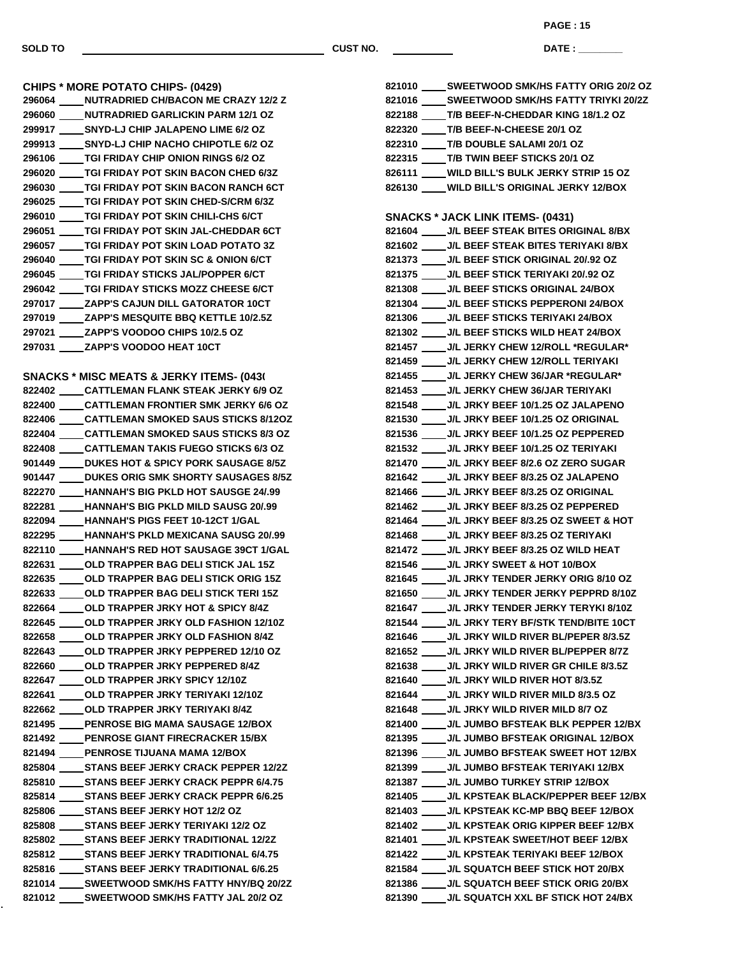ċ,

**SOLD TO CUST NO.**

**PAGE : 15**

**DATE : \_\_\_\_\_\_\_\_\_\_\_\_\_\_\_**

|        | <b>CHIPS * MORE POTATO CHIPS- (0429)</b>                |
|--------|---------------------------------------------------------|
|        | 296064 NUTRADRIED CH/BACON ME CRAZY 12/2 Z              |
|        | 296060 NUTRADRIED GARLICKIN PARM 12/1 OZ                |
|        | 299917 ______ SNYD-LJ CHIP JALAPENO LIME 6/2 OZ         |
|        | 299913 _____ SNYD-LJ CHIP NACHO CHIPOTLE 6/2 OZ         |
|        | 296106 TGI FRIDAY CHIP ONION RINGS 6/2 OZ               |
|        | 296020 TGI FRIDAY POT SKIN BACON CHED 6/3Z              |
|        |                                                         |
|        | 296025            TGI FRIDAY POT SKIN CHED-S/CRM 6/3Z   |
|        | 296010            TGI FRIDAY POT SKIN CHILI-CHS 6/CT    |
|        | 296051              TGI FRIDAY POT SKIN JAL-CHEDDAR 6CT |
|        |                                                         |
|        | 296040 TGI FRIDAY POT SKIN SC & ONION 6/CT              |
|        | 296045 TGI FRIDAY STICKS JAL/POPPER 6/CT                |
|        | 296042 TGI FRIDAY STICKS MOZZ CHEESE 6/CT               |
|        | 297017 ZAPP'S CAJUN DILL GATORATOR 10CT                 |
|        | 297019 _____ ZAPP'S MESQUITE BBQ KETTLE 10/2.5Z         |
|        | 297021 ZAPP'S VOODOO CHIPS 10/2.5 OZ                    |
|        | 297031 _____ ZAPP'S VOODOO HEAT 10CT                    |
|        |                                                         |
|        | <b>SNACKS * MISC MEATS &amp; JERKY ITEMS- (043)</b>     |
|        | 822402 CATTLEMAN FLANK STEAK JERKY 6/9 OZ               |
|        | 822400 CATTLEMAN FRONTIER SMK JERKY 6/6 OZ              |
|        | 822406 CATTLEMAN SMOKED SAUS STICKS 8/12OZ              |
|        | 822404 CATTLEMAN SMOKED SAUS STICKS 8/3 OZ              |
|        | 822408 CATTLEMAN TAKIS FUEGO STICKS 6/3 OZ              |
|        | 901449 DUKES HOT & SPICY PORK SAUSAGE 8/5Z              |
|        |                                                         |
|        | 822270 HANNAH'S BIG PKLD HOT SAUSGE 24/.99              |
|        | 822281 HANNAH'S BIG PKLD MILD SAUSG 20/.99              |
|        | 822094 HANNAH'S PIGS FEET 10-12CT 1/GAL                 |
|        | 822295 HANNAH'S PKLD MEXICANA SAUSG 20/.99              |
|        | 822110 HANNAH'S RED HOT SAUSAGE 39CT 1/GAL              |
|        | 822631 OLD TRAPPER BAG DELI STICK JAL 15Z               |
|        | 822635 OLD TRAPPER BAG DELI STICK ORIG 15Z              |
|        | 822633 OLD TRAPPER BAG DELI STICK TERI 15Z              |
|        | 822664 OLD TRAPPER JRKY HOT & SPICY 8/4Z                |
| 822645 | OLD TRAPPER JRKY OLD FASHION 12/10Z                     |
|        | 822658 _____ OLD TRAPPER JRKY OLD FASHION 8/4Z          |
|        | 822643 ____ OLD TRAPPER JRKY PEPPERED 12/10 OZ          |
|        | 822660 _____ OLD TRAPPER JRKY PEPPERED 8/4Z             |
|        | 822647 _____ OLD TRAPPER JRKY SPICY 12/10Z              |
|        | 822641 ____ OLD TRAPPER JRKY TERIYAKI 12/10Z            |
|        | 822662 ____ OLD TRAPPER JRKY TERIYAKI 8/4Z              |
|        | 821495 _____ PENROSE BIG MAMA SAUSAGE 12/BOX            |
|        | 821492 _____ PENROSE GIANT FIRECRACKER 15/BX            |
|        | 821494 _____ PENROSE TIJUANA MAMA 12/BOX                |
|        | 825804 STANS BEEF JERKY CRACK PEPPER 12/2Z              |
|        | 825810 _____ STANS BEEF JERKY CRACK PEPPR 6/4.75        |
|        | 825814 _____ STANS BEEF JERKY CRACK PEPPR 6/6.25        |
|        | 825806 _____ STANS BEEF JERKY HOT 12/2 OZ               |
|        | 825808 _____ STANS BEEF JERKY TERIYAKI 12/2 OZ          |
|        | 825802 _____ STANS BEEF JERKY TRADITIONAL 12/2Z         |
|        | 825812 _____ STANS BEEF JERKY TRADITIONAL 6/4.75        |
|        | 825816 _____ STANS BEEF JERKY TRADITIONAL 6/6.25        |
|        | 821014 _____ SWEETWOOD SMK/HS FATTY HNY/BQ 20/2Z        |
|        | 821012 _____ SWEETWOOD SMK/HS FATTY JAL 20/2 OZ         |
|        |                                                         |

| 821010 _____ SWEETWOOD SMK/HS FATTY ORIG 20/2 OZ |
|--------------------------------------------------|
| 821016 _____ SWEETWOOD SMK/HS FATTY TRIYKI 20/2Z |
| 822188 ____T/B BEEF-N-CHEDDAR KING 18/1.2 OZ     |
| 822320 ____T/B BEEF-N-CHEESE 20/1 OZ             |
| 822310 ____T/B DOUBLE SALAMI 20/1 OZ             |
| 822315 ____T/B TWIN BEEF STICKS 20/1 OZ          |
| 826111 ____WILD BILL'S BULK JERKY STRIP 15 OZ    |
| 826130 ____ WILD BILL'S ORIGINAL JERKY 12/BOX    |
|                                                  |
| <b>SNACKS * JACK LINK ITEMS- (0431)</b>          |
| 821604 ____ J/L BEEF STEAK BITES ORIGINAL 8/BX   |
| 821602 ____ J/L BEEF STEAK BITES TERIYAKI 8/BX   |
| 821373 ____ J/L BEEF STICK ORIGINAL 20/.92 OZ    |
| 821375 ____ J/L BEEF STICK TERIYAKI 20/.92 OZ    |
| 821308 ____ J/L BEEF STICKS ORIGINAL 24/BOX      |
| 821304 ____ J/L BEEF STICKS PEPPERONI 24/BOX     |
| 821306 ____J/L BEEF STICKS TERIYAKI 24/BOX       |
| 821302 _____ J/L BEEF STICKS WILD HEAT 24/BOX    |
| 821457 ____ J/L JERKY CHEW 12/ROLL *REGULAR*     |
| 821459 _____ J/L JERKY CHEW 12/ROLL TERIYAKI     |
| 821455 _____ J/L JERKY CHEW 36/JAR *REGULAR*     |
| 821453 _____ J/L JERKY CHEW 36/JAR TERIYAKI      |
| 821548 _____ J/L JRKY BEEF 10/1.25 OZ JALAPENO   |
| 821530 ____ J/L JRKY BEEF 10/1.25 OZ ORIGINAL    |
| 821536 ____ J/L JRKY BEEF 10/1.25 OZ PEPPERED    |
| 821532 ____ J/L JRKY BEEF 10/1.25 OZ TERIYAKI    |
| 821470 _____ J/L JRKY BEEF 8/2.6 OZ ZERO SUGAR   |
| 821642 _____ J/L JRKY BEEF 8/3.25 OZ JALAPENO    |
| 821466 _____ J/L JRKY BEEF 8/3.25 OZ ORIGINAL    |
| 821462 _____ J/L JRKY BEEF 8/3.25 OZ PEPPERED    |
| 821464 ____ J/L JRKY BEEF 8/3.25 OZ SWEET & HOT  |
| 821468 _____ J/L JRKY BEEF 8/3.25 OZ TERIYAKI    |
| 821472 _____ J/L JRKY BEEF 8/3.25 OZ WILD HEAT   |
| 821546 _____ J/L JRKY SWEET & HOT 10/BOX         |
| 821645 ____ J/L JRKY TENDER JERKY ORIG 8/10 OZ   |
| 821650 ____ J/L JRKY TENDER JERKY PEPPRD 8/10Z   |
| 821647 ____ J/L JRKY TENDER JERKY TERYKI 8/10Z   |
| 821544 ____ J/L JRKY TERY BF/STK TEND/BITE 10CT  |
| 821646 ____ J/L JRKY WILD RIVER BL/PEPER 8/3.5Z  |
| 821652 _____ J/L JRKY WILD RIVER BL/PEPPER 8/7Z  |
| 821638 ____ J/L JRKY WILD RIVER GR CHILE 8/3.5Z  |
| 821640 _____ J/L JRKY WILD RIVER HOT 8/3.5Z      |
| 821644 _____ J/L JRKY WILD RIVER MILD 8/3.5 OZ   |
| 821648 ____ J/L JRKY WILD RIVER MILD 8/7 OZ      |
| 821400 ____ J/L JUMBO BFSTEAK BLK PEPPER 12/BX   |
| 821395 ____ J/L JUMBO BFSTEAK ORIGINAL 12/BOX    |
| 821396 ____ J/L JUMBO BFSTEAK SWEET HOT 12/BX    |
| 821399 ____ J/L JUMBO BFSTEAK TERIYAKI 12/BX     |
| 821387 _____ J/L JUMBO TURKEY STRIP 12/BOX       |
| 821405 ____ J/L KPSTEAK BLACK/PEPPER BEEF 12/BX  |
| 821403 _____ J/L KPSTEAK KC-MP BBQ BEEF 12/BOX   |
| 821402 ____ J/L KPSTEAK ORIG KIPPER BEEF 12/BX   |
| 821401 _____ J/L KPSTEAK SWEET/HOT BEEF 12/BX    |
| 821422 _____ J/L KPSTEAK TERIYAKI BEEF 12/BOX    |
| 821584 ____ J/L SQUATCH BEEF STICK HOT 20/BX     |
| 821386 ____J/L SQUATCH BEEF STICK ORIG 20/BX     |
| 821390 ____ J/L SQUATCH XXL BF STICK HOT 24/BX   |